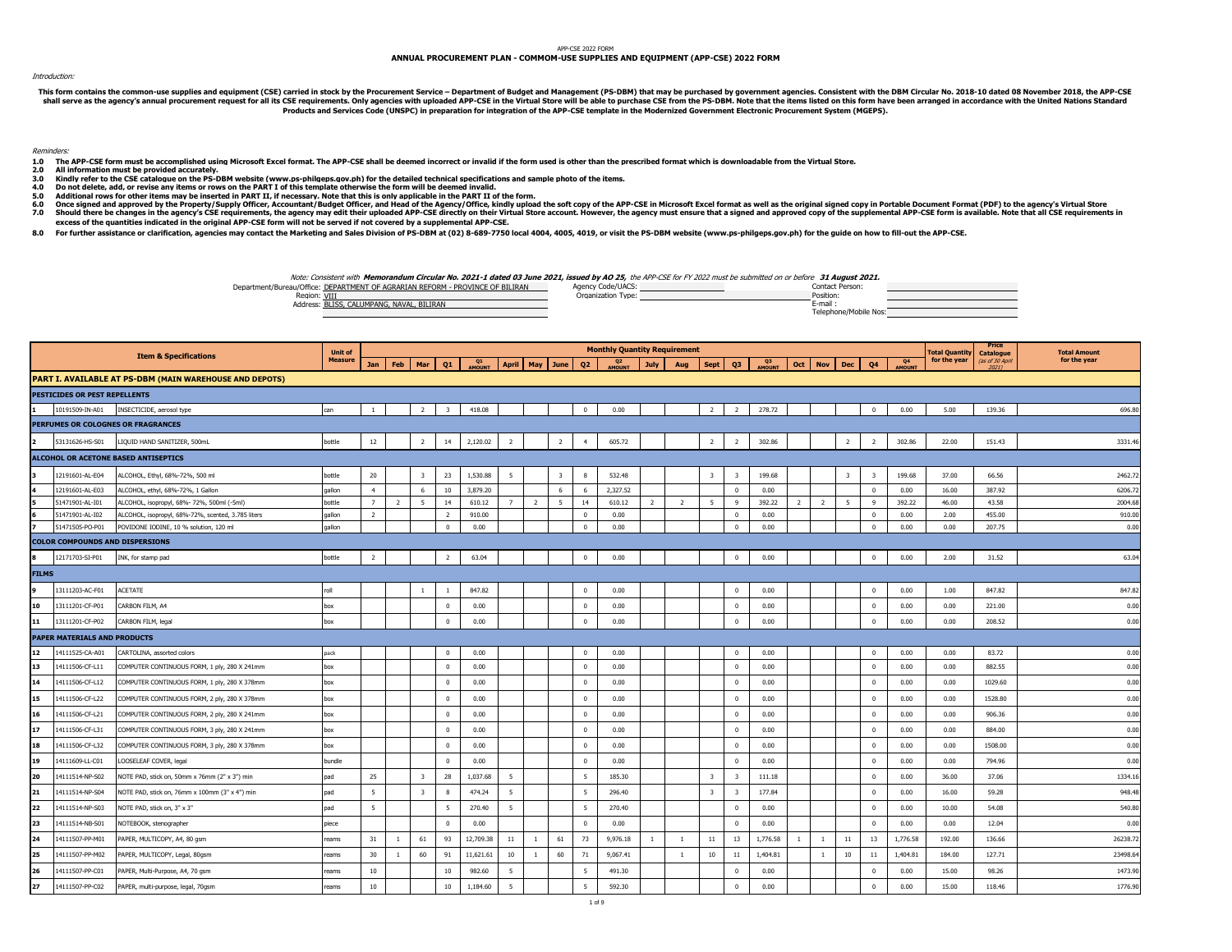## APP-CSE 2022 FORM

## **ANNUAL PROCUREMENT PLAN - COMMOM-USE SUPPLIES AND EQUIPMENT (APP-CSE) 2022 FORM**

## Introduction:

This form constants the common-use supplies and equipment (CSE) carried in stock by the Procurement Service – Department of Budget and Management Of Duckley and Management and be able to purchase CSE from the PS-DBM. Note **Products and Services Code (UNSPC) in preparation for integration of the APP-CSE template in the Modernized Government Electronic Procurement System (MGEPS).** 

Reminders:

- 1.0 The APP-CSE form must be accomplished using Microsoft Excel format. The APP-CSE shall be deemed incorrect or invalid if the form used is other than the prescribed format which is downloadable from the Virtual Store.<br>2.
- 
- **3.0** All information must be provided accurately.<br>Kindly refer to the CSE catalogue on the PS-DBM website (www.ps-philgeps.gov.ph) for the detailed technical specifications and sample photo of the items.

- **4.0 Do not delete, add, or revise any items or rows on the PART I of this template otherwise the form will be deemed invalid.**
- **5.0 Additional rows for other items may be inserted in PART II, if necessary. Note that this is only applicable in the PART II of the form.**
- **6.0 7.0** Once signal approved by the Property/Supply Officer, Accountant/Budget Officer, and Head of the Agency/Office, kindly upload APP APP containe was the streamed as well as the original state about the supplemental APP-CSE fo
- **excess of the quantities indicated in the original APP-CSE form will not be served if not covered by a supplemental APP-CSE.**
- **8.0** For further assistance or clarification, agencies may contact the Marketing and Sales Division of PS-DBM at (02) 8-689-7750 local 4004, 4005, 4019, or visit the PS-DBM website (www.ps-philgeps.gov.ph) for the quide on how

Note: Consistent with **Memorandum Circular No. 2021-1 dated 03 June 2021, issued by AO 25,** the APP-CSE for FY 2022 must be submitted on or before **31 August 2021.**

| Department/Bureau/Office: DEPARTMENT OF AGRARIAN REFORM - PROVINCE OF BILIRAN | Agency Code/UACS  | Contact Person:       |  |
|-------------------------------------------------------------------------------|-------------------|-----------------------|--|
| Region: VIII                                                                  | Organization Type | Position:             |  |
| Address: BLISS, CALUMPANG, NAVAL, BILIRAN                                     |                   | E-mail                |  |
|                                                                               |                   | Telephone/Mobile Nos: |  |

|              |                                        | <b>Item &amp; Specifications</b>                               | <b>Unit of</b> |                 |              |                         |                         |              |                |                |                |                         | <b>Monthly Quantity Requirement</b> |                |                |                         |                         |                          |                |                 |                         |                         |                     | <b>Total Quantity</b> | Price<br>Catalogue | <b>Total Amount</b> |
|--------------|----------------------------------------|----------------------------------------------------------------|----------------|-----------------|--------------|-------------------------|-------------------------|--------------|----------------|----------------|----------------|-------------------------|-------------------------------------|----------------|----------------|-------------------------|-------------------------|--------------------------|----------------|-----------------|-------------------------|-------------------------|---------------------|-----------------------|--------------------|---------------------|
|              |                                        |                                                                | <b>Measure</b> | Jan             | Feb          | Mar                     | Q1                      | Q1<br>AMOUNT |                | April May June |                | Q <sub>2</sub>          | Q <sub>2</sub><br>AMOUNT            | July           | Aug            | Sept Q3                 |                         | Q <sub>3</sub><br>AMOUNT |                | Oct   Nov   Dec |                         | Q4                      | Q4<br><b>AMOUNT</b> | for the year          | (as of 30 April    | for the year        |
|              |                                        | <b>PART I. AVAILABLE AT PS-DBM (MAIN WAREHOUSE AND DEPOTS)</b> |                |                 |              |                         |                         |              |                |                |                |                         |                                     |                |                |                         |                         |                          |                |                 |                         |                         |                     |                       |                    |                     |
|              | PESTICIDES OR PEST REPELLENTS          |                                                                |                |                 |              |                         |                         |              |                |                |                |                         |                                     |                |                |                         |                         |                          |                |                 |                         |                         |                     |                       |                    |                     |
|              | 10191509-IN-A01                        | INSECTICIDE, aerosol type                                      | can            | $\mathbf{1}$    |              | $\overline{2}$          | $\overline{\mathbf{3}}$ | 418.08       |                |                |                | $\circ$                 | 0.00                                |                |                | $\overline{2}$          | $\overline{2}$          | 278.72                   |                |                 |                         | $\mathbf{0}$            | 0.00                | 5.00                  | 139.36             | 696.80              |
|              |                                        | PERFUMES OR COLOGNES OR FRAGRANCES                             |                |                 |              |                         |                         |              |                |                |                |                         |                                     |                |                |                         |                         |                          |                |                 |                         |                         |                     |                       |                    |                     |
|              | 53131626-HS-S01                        | LIQUID HAND SANITIZER, 500mL                                   | bottle         | 12              |              | $\overline{2}$          | 14                      | 2,120.02     | $\overline{2}$ |                | $\overline{2}$ | $\overline{4}$          | 605.72                              |                |                | $\overline{2}$          | $\overline{2}$          | 302.86                   |                |                 | $\overline{2}$          | $\overline{2}$          | 302.86              | 22.00                 | 151.43             | 3331.46             |
|              |                                        | ALCOHOL OR ACETONE BASED ANTISEPTICS                           |                |                 |              |                         |                         |              |                |                |                |                         |                                     |                |                |                         |                         |                          |                |                 |                         |                         |                     |                       |                    |                     |
|              | 12191601-AL-E04                        | ALCOHOL, Ethyl, 68%-72%, 500 ml                                | bottle         | 20              |              | 3                       | 23                      | 1,530.88     | 5              |                | 3              | 8                       | 532.48                              |                |                | $\overline{\mathbf{3}}$ | $\overline{\mathbf{3}}$ | 199.68                   |                |                 | $\overline{\mathbf{3}}$ | $\overline{\mathbf{3}}$ | 199.68              | 37.00                 | 66.56              | 2462.72             |
|              | 12191601-AL-E03                        | ALCOHOL, ethyl, 68%-72%, 1 Gallon                              | qallon         | $\overline{4}$  |              | 6                       | 10                      | 3,879,20     |                |                | 6              | 6                       | 2,327.52                            |                |                |                         | $\overline{0}$          | 0.00                     |                |                 |                         | $^{\circ}$              | 0.00                | 16.00                 | 387.92             | 6206.72             |
|              | 51471901-AL-I01                        | ALCOHOL, isopropyl, 68%- 72%, 500ml (-5ml)                     | bottle         | 7               | 2            | 5                       | 14                      | 610.12       | 7              | $\overline{2}$ | 5              | 14                      | 610.12                              | $\overline{2}$ | $\overline{2}$ | 5                       | 9                       | 392.22                   | $\overline{2}$ | $\overline{2}$  | 5                       | 9                       | 392.22              | 46.00                 | 43.58              | 2004.68             |
|              | 51471901-AL-I02                        | ALCOHOL, isopropyl, 68%-72%, scented, 3.785 liters             | qallon         | <sup>2</sup>    |              |                         | $\overline{2}$          | 910.00       |                |                |                | $\Omega$                | 0.00                                |                |                |                         | $\overline{0}$          | 0.00                     |                |                 |                         | $\mathbf{0}$            | 0.00                | 2.00                  | 455.00             | 910.00              |
|              | 51471505-PO-P01                        | POVIDONE IODINE, 10 % solution, 120 ml                         | gallon         |                 |              |                         | $\mathbf{0}$            | 0.00         |                |                |                | $\Omega$                | 0.00                                |                |                |                         | $\overline{0}$          | 0.00                     |                |                 |                         | $\overline{0}$          | 0.00                | 0.00                  | 207.75             | 0.00                |
|              | <b>COLOR COMPOUNDS AND DISPERSIONS</b> |                                                                |                |                 |              |                         |                         |              |                |                |                |                         |                                     |                |                |                         |                         |                          |                |                 |                         |                         |                     |                       |                    |                     |
|              | 12171703-SI-P01                        | INK, for stamp pad                                             | bottle         | $\overline{2}$  |              |                         | $\overline{2}$          | 63.04        |                |                |                | $\mathbf 0$             | 0.00                                |                |                |                         | $\mathbf{0}$            | 0.00                     |                |                 |                         | $\mathbf{0}$            | 0.00                | 2.00                  | 31.52              | 63.04               |
| <b>FILMS</b> |                                        |                                                                |                |                 |              |                         |                         |              |                |                |                |                         |                                     |                |                |                         |                         |                          |                |                 |                         |                         |                     |                       |                    |                     |
|              | 13111203-AC-F01                        | <b>ACETATE</b>                                                 | roll           |                 |              | $\overline{1}$          | $\mathbf{1}$            | 847.82       |                |                |                | $\Omega$                | 0.00                                |                |                |                         | $\Omega$                | 0.00                     |                |                 |                         | $\Omega$                | 0.00                | 1.00                  | 847.82             | 847.82              |
| 10           | 13111201-CF-P01                        | CARBON FILM, A4                                                | box            |                 |              |                         | $\mathbf{0}$            | 0.00         |                |                |                | $\Omega$                | 0.00                                |                |                |                         | $\mathbf{0}$            | 0.00                     |                |                 |                         | $^{\circ}$              | 0.00                | 0.00                  | 221.00             | 0.00                |
| 11           | 13111201-CF-P02                        | CARBON FILM, legal                                             | box            |                 |              |                         | $\mathbf 0$             | 0.00         |                |                |                | $\mathbf 0$             | 0.00                                |                |                |                         | $^{\circ}$              | 0.00                     |                |                 |                         | $\Omega$                | 0.00                | 0.00                  | 208.52             | 0.00                |
|              | PAPER MATERIALS AND PRODUCTS           |                                                                |                |                 |              |                         |                         |              |                |                |                |                         |                                     |                |                |                         |                         |                          |                |                 |                         |                         |                     |                       |                    |                     |
| 12           | 14111525-CA-A01                        | CARTOLINA, assorted colors                                     | pack           |                 |              |                         | $\mathbf{0}$            | 0.00         |                |                |                | $\mathbf{0}$            | 0.00                                |                |                |                         | $\mathbf{0}$            | 0.00                     |                |                 |                         | $\bf{0}$                | 0.00                | 0.00                  | 83.72              | 0.00                |
| 13           | 14111506-CF-L11                        | COMPUTER CONTINUOUS FORM, 1 ply, 280 X 241mm                   | box            |                 |              |                         | $\bf{0}$                | 0.00         |                |                |                | $\overline{0}$          | 0.00                                |                |                |                         | $\mathbf{0}$            | 0.00                     |                |                 |                         | $\overline{0}$          | 0.00                | 0.00                  | 882.55             | 0.00                |
| 14           | 14111506-CF-L12                        | COMPUTER CONTINUOUS FORM, 1 ply, 280 X 378mm                   | box            |                 |              |                         | $\overline{0}$          | 0.00         |                |                |                | $\mathbf{0}$            | 0.00                                |                |                |                         | $\overline{0}$          | 0.00                     |                |                 |                         | $^{\circ}$              | 0.00                | 0.00                  | 1029.60            | 0.00                |
| 15           | 14111506-CF-L22                        | COMPUTER CONTINUOUS FORM, 2 ply, 280 X 378mm                   | box            |                 |              |                         | $\mathbf{0}$            | 0.00         |                |                |                | $\overline{0}$          | 0.00                                |                |                |                         | $\overline{0}$          | 0.00                     |                |                 |                         | $^{\circ}$              | 0.00                | 0.00                  | 1528.80            | 0.00                |
| 16           | 14111506-CF-L21                        | COMPUTER CONTINUOUS FORM, 2 ply, 280 X 241mm                   | box            |                 |              |                         | $\mathbf{0}$            | 0.00         |                |                |                | $\mathbf{0}$            | 0.00                                |                |                |                         | $\mathbf{0}$            | 0.00                     |                |                 |                         | $\overline{0}$          | 0.00                | 0.00                  | 906.36             | 0.00                |
| 17           | 14111506-CF-L31                        | COMPUTER CONTINUOUS FORM, 3 ply, 280 X 241mm                   | box            |                 |              |                         | $\mathbf 0$             | 0.00         |                |                |                | $\Omega$                | 0.00                                |                |                |                         | $\overline{0}$          | 0.00                     |                |                 |                         | $\Omega$                | 0.00                | 0.00                  | 884.00             | 0.00                |
| 18           | 14111506-CF-L32                        | COMPUTER CONTINUOUS FORM, 3 ply, 280 X 378mm                   | box            |                 |              |                         | $\bf{0}$                | 0.00         |                |                |                | $\overline{\mathbf{0}}$ | 0.00                                |                |                |                         | $\mathbf{0}$            | 0.00                     |                |                 |                         | $\mathbf 0$             | 0.00                | 0.00                  | 1508.00            | 0.00                |
| 19           | 14111609-LL-C01                        | LOOSELEAF COVER, legal                                         | bundle         |                 |              |                         | $\mathbf{0}$            | 0.00         |                |                |                | $\Omega$                | 0.00                                |                |                |                         | $\Omega$                | 0.00                     |                |                 |                         | $^{\circ}$              | 0.00                | 0.00                  | 794.96             | 0.00                |
| 20           | 14111514-NP-S02                        | NOTE PAD, stick on, 50mm x 76mm (2" x 3") min                  | pad            | 25              |              | $\overline{\mathbf{3}}$ | 28                      | 1,037.68     | 5              |                |                | - 5                     | 185.30                              |                |                | $\overline{\mathbf{3}}$ | $\overline{\mathbf{3}}$ | 111.18                   |                |                 |                         | $\mathbf{0}$            | 0.00                | 36.00                 | 37.06              | 1334.16             |
| 21           | 14111514-NP-S04                        | NOTE PAD, stick on, 76mm x 100mm (3" x 4") min                 | pad            | 5               |              | $\overline{\mathbf{3}}$ | 8                       | 474.24       | 5              |                |                | -5                      | 296.40                              |                |                | $\overline{\mathbf{3}}$ | $\overline{\mathbf{3}}$ | 177.84                   |                |                 |                         | $^{\circ}$              | 0.00                | 16.00                 | 59.28              | 948.48              |
| 22           | 14111514-NP-S03                        | NOTE PAD, stick on, 3" x 3"                                    | pad            | 5               |              |                         | 5                       | 270.40       | 5              |                |                | 5                       | 270.40                              |                |                |                         | $\mathbf{0}$            | 0.00                     |                |                 |                         | $\overline{0}$          | 0.00                | 10.00                 | 54.08              | 540.80              |
| 23           | 14111514-NB-S01                        | NOTEBOOK, stenographer                                         | piece          |                 |              |                         | $^{\circ}$              | 0.00         |                |                |                | $\overline{0}$          | 0.00                                |                |                |                         | $^{\circ}$              | 0.00                     |                |                 |                         | $^{\circ}$              | 0.00                | 0.00                  | 12.04              | 0.00                |
| 24           | 14111507-PP-M01                        | PAPER, MULTICOPY, A4, 80 gsm                                   | reams          | 31              | $\mathbf{1}$ | 61                      | 93                      | 12,709.38    | 11             | $\overline{1}$ | 61             | 73                      | 9,976.18                            | $\mathbf{1}$   | $\overline{1}$ | 11                      | 13                      | 1,776.58                 |                | $\overline{1}$  | $11\,$                  | 13                      | 1,776.58            | 192.00                | 136.66             | 26238.72            |
| 25           | 14111507-PP-M02                        | PAPER, MULTICOPY, Legal, 80gsm                                 | reams          | 30              | $\mathbf{1}$ | 60                      | 91                      | 11,621.61    | 10             | $\overline{1}$ | 60             | 71                      | 9,067.41                            |                | -1             | 10                      | $11\,$                  | 1,404.81                 |                | $\overline{1}$  | 10                      | 11                      | 1,404.81            | 184.00                | 127.71             | 23498.64            |
| 26           | 14111507-PP-C01                        | PAPER, Multi-Purpose, A4, 70 qsm                               | reams          | 10 <sub>1</sub> |              |                         | 10                      | 982.60       | 5              |                |                | -5                      | 491.30                              |                |                |                         | $\overline{0}$          | 0.00                     |                |                 |                         | $\Omega$                | 0.00                | 15.00                 | 98.26              | 1473.90             |
| 27           | 14111507-PP-C02                        | PAPER, multi-purpose, legal, 70gsm                             | reams          | 10 <sub>1</sub> |              |                         | 10 <sub>10</sub>        | 1,184.60     | 5              |                |                | 5                       | 592.30                              |                |                |                         | $\mathbf{0}$            | 0.00                     |                |                 |                         | $\Omega$                | 0.00                | 15.00                 | 118.46             | 1776.90             |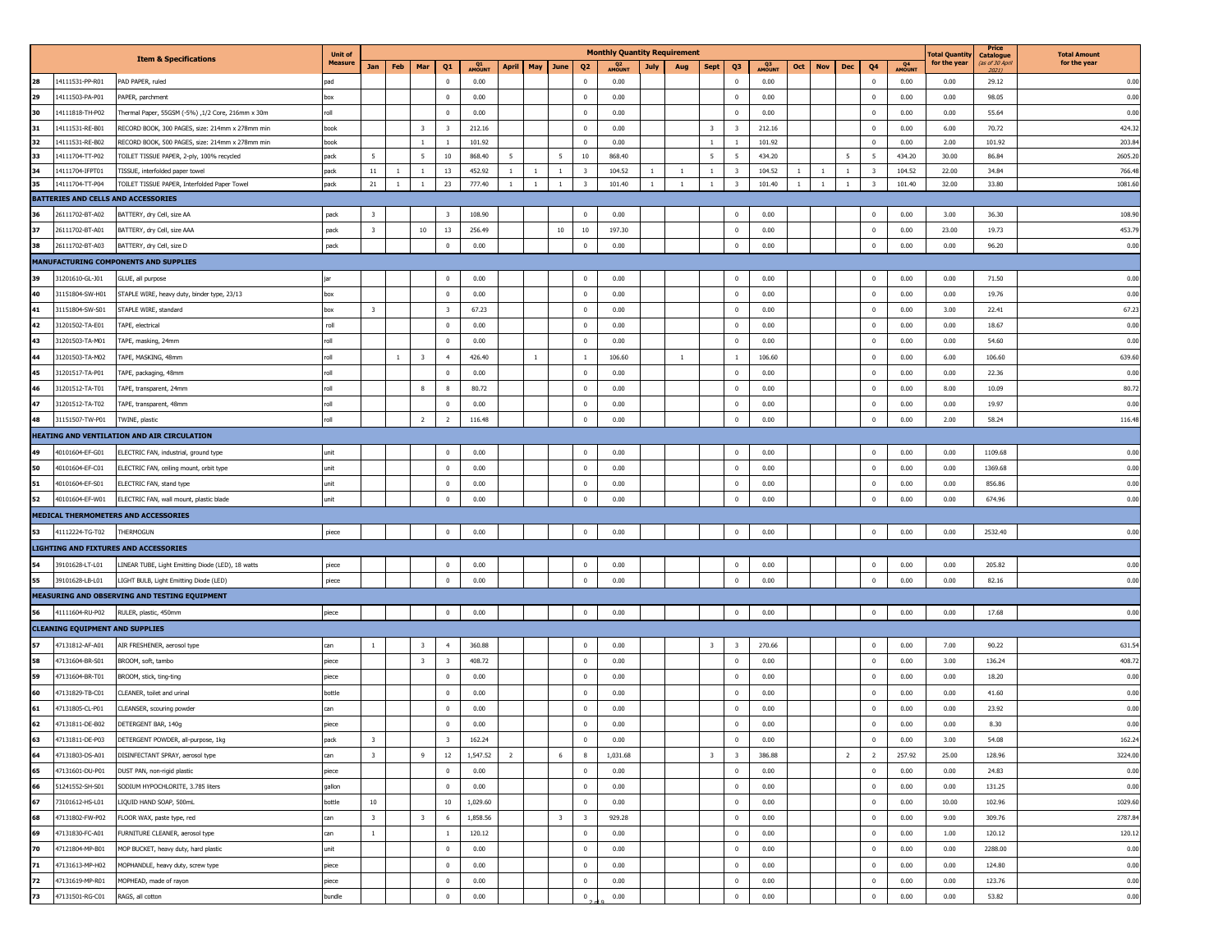|     |                                        |                                                    | <b>Unit of</b>   |                         |              |                         |                         |              |                |                              |                         | <b>Monthly Quantity Requirement</b> |              |                |                                                    |        |              |              |                |                         |              | <b>Total Quantity</b> | Price<br><b>Catalogue</b> | <b>Total Amount</b> |
|-----|----------------------------------------|----------------------------------------------------|------------------|-------------------------|--------------|-------------------------|-------------------------|--------------|----------------|------------------------------|-------------------------|-------------------------------------|--------------|----------------|----------------------------------------------------|--------|--------------|--------------|----------------|-------------------------|--------------|-----------------------|---------------------------|---------------------|
|     |                                        | <b>Item &amp; Specifications</b>                   | <b>Measure</b>   | Jan                     | Feb          | Mar                     | Q1                      | Q1<br>AMOUNT | <b>April</b>   | May<br>June                  | Q <sub>2</sub>          | Q2<br>40UNT                         | July         | Aug            | Sept<br>Q3                                         | Q3     | Oct          | Nov          | Dec            | Q4                      | Q4<br>AMOUNT | for the year          | (as of 30 April<br>2021)  | for the year        |
|     | 14111531-PP-R01                        | PAD PAPER, ruled                                   | pad              |                         |              |                         | $\mathbf 0$             | 0.00         |                |                              | $\mathbf 0$             | 0.00                                |              |                | $\mathbf 0$                                        | 0.00   |              |              |                | $\mathbf 0$             | 0.00         | 0.00                  | 29.12                     | 0.00                |
| 29  | 14111503-PA-P01                        | PAPER, parchment                                   | box              |                         |              |                         | $\overline{0}$          | 0.00         |                |                              | $\overline{0}$          | 0.00                                |              |                | $\overline{0}$                                     | 0.00   |              |              |                | $\bf{0}$                | 0.00         | 0.00                  | 98.05                     | 0.00                |
| 30  | 14111818-TH-P02                        | Thermal Paper, 55GSM (-5%) ,1/2 Core, 216mm x 30m  | roll             |                         |              |                         | $\overline{0}$          | 0.00         |                |                              | $\mathbf 0$             | 0.00                                |              |                | $^{\circ}$                                         | 0.00   |              |              |                | $\bf{0}$                | 0.00         | 0.00                  | 55.64                     | 0.00                |
| 31  | 4111531-RE-B01                         | RECORD BOOK, 300 PAGES, size: 214mm x 278mm min    | book             |                         |              | $\overline{\mathbf{3}}$ | $\overline{\mathbf{3}}$ | 212.16       |                |                              | $\mathbf 0$             | 0.00                                |              |                | $\overline{\mathbf{3}}$<br>$\overline{\mathbf{3}}$ | 212.16 |              |              |                | $\mathbf 0$             | 0.00         | 6.00                  | 70.72                     | 424.32              |
|     | 4111531-RE-B02                         | RECORD BOOK, 500 PAGES, size: 214mm x 278mm min    | book             |                         |              | $\,$ 1                  | $\overline{1}$          | 101.92       |                |                              | $\mathbf{0}$            | 0.00                                |              |                | $\mathbf{1}$<br>$\overline{1}$                     | 101.92 |              |              |                | $\mathbf 0$             | 0.00         | 2.00                  | 101.92                    | 203.84              |
| 33  | 14111704-TT-P02                        | TOILET TISSUE PAPER, 2-ply, 100% recycled          | pack             | - 5                     |              | 5                       | 10                      | 868.40       | 5              | 5                            | 10                      | 868.40                              |              |                | $5\overline{5}$<br>5                               | 434.20 |              |              | 5              | 5                       | 434.20       | 30.00                 | 86.84                     | 2605.20             |
|     | 4111704-IFPT01                         | TISSUE, interfolded paper towel                    | pack             | 11                      | $\mathbf{1}$ | $\mathbf{1}$            | 13                      | 452.92       | $\mathbf{1}$   | $\mathbf{1}$<br>$\mathbf{1}$ | $\overline{\mathbf{3}}$ | 104.52                              | 1            | $\overline{1}$ | $\mathbf{1}$<br>$\overline{\mathbf{3}}$            | 104.52 | 1            | $\mathbf{1}$ | $\mathbf{1}$   | $\overline{\mathbf{3}}$ | 104.52       | 22.00                 | 34.84                     | 766.48              |
| 35  | 14111704-TT-P04                        | TOILET TISSUE PAPER, Interfolded Paper Towel       | pack             | 21                      | $\mathbf{1}$ | $\mathbf{1}$            | 23                      | 777.40       | $\mathbf{1}$   | $\overline{1}$<br>$1\,$      | $\overline{\mathbf{3}}$ | 101.40                              | <sup>1</sup> | <sup>1</sup>   | $\overline{\mathbf{3}}$<br>$\mathbf{1}$            | 101.40 | $\mathbf{1}$ | $\mathbf{1}$ | $\mathbf{1}$   | $\overline{\mathbf{3}}$ | 101.40       | 32.00                 | 33.80                     | 1081.60             |
|     |                                        | <b>BATTERIES AND CELLS AND ACCESSORIES</b>         |                  |                         |              |                         |                         |              |                |                              |                         |                                     |              |                |                                                    |        |              |              |                |                         |              |                       |                           |                     |
|     | 26111702-BT-A02                        | BATTERY, dry Cell, size AA                         | pack             | $\overline{\mathbf{3}}$ |              |                         | $\overline{\mathbf{3}}$ | 108.90       |                |                              | $\mathbf{0}$            | 0.00                                |              |                | $\mathbf{0}$                                       | 0.00   |              |              |                | $\mathbf 0$             | 0.00         | 3.00                  | 36.30                     | 108.90              |
| 37  | 26111702-BT-A01                        | BATTERY, dry Cell, size AAA                        | pack             | $\overline{\mathbf{3}}$ |              | 10                      | 13                      | 256.49       |                | $10\,$                       | 10                      | 197.30                              |              |                | $^{\circ}$                                         | 0.00   |              |              |                | $\mathbf 0$             | 0.00         | 23.00                 | 19.73                     | 453.79              |
|     | 26111702-BT-A03                        | BATTERY, dry Cell, size D                          | pack             |                         |              |                         | $\mathbf 0$             | 0.00         |                |                              | $^{\circ}$              | 0.00                                |              |                | $\bf{0}$                                           | 0.00   |              |              |                | $\bf{0}$                | 0.00         | 0.00                  | 96.20                     | 0.00                |
|     |                                        | <b>MANUFACTURING COMPONENTS AND SUPPLIES</b>       |                  |                         |              |                         |                         |              |                |                              |                         |                                     |              |                |                                                    |        |              |              |                |                         |              |                       |                           |                     |
|     | 31201610-GL-J01                        | GLUE, all purpose                                  |                  |                         |              |                         | $\mathbf 0$             | 0.00         |                |                              | $\overline{0}$          | 0.00                                |              |                | $^{\circ}$                                         | 0.00   |              |              |                | $\bf{0}$                | 0.00         | 0.00                  | 71.50                     | 0.00                |
| 40  | 31151804-SW-H01                        | STAPLE WIRE, heavy duty, binder type, 23/13        | box              |                         |              |                         | $\overline{0}$          | 0.00         |                |                              | $\mathbf 0$             | 0.00                                |              |                | $\bf{0}$                                           | 0.00   |              |              |                | $\mathbf 0$             | 0.00         | 0.00                  | 19.76                     | 0.00                |
| 41  | 31151804-SW-S01                        | STAPLE WIRE, standard                              | box              | $\overline{\mathbf{3}}$ |              |                         | $\overline{\mathbf{3}}$ | 67.23        |                |                              | $\mathbf 0$             | 0.00                                |              |                | $\mathbf 0$                                        | 0.00   |              |              |                | $\mathbf 0$             | 0.00         | 3.00                  | 22.41                     | 67.23               |
| 42  | 31201502-TA-E01                        | TAPE, electrical                                   | roll             |                         |              |                         | $\overline{0}$          | 0.00         |                |                              | $\overline{0}$          | 0.00                                |              |                | $^{\circ}$                                         | 0.00   |              |              |                | $\bf{0}$                | 0.00         | 0.00                  | 18.67                     | 0.00                |
| 43  | 31201503-TA-M01                        | TAPE, masking, 24mm                                | roll             |                         |              |                         | $\overline{0}$          | 0.00         |                |                              | $\mathbf 0$             | 0.00                                |              |                | $\mathbf{0}$                                       | 0.00   |              |              |                | $\mathbf 0$             | 0.00         | 0.00                  | 54.60                     | 0.00                |
|     | 1201503-TA-M02                         | TAPE, MASKING, 48mm                                | llo <sup>.</sup> |                         | $\mathbf{1}$ | $\overline{\mathbf{3}}$ | $\overline{4}$          | 426.40       |                | 1                            | $\mathbf{1}$            | 106.60                              |              | <sup>1</sup>   | 1                                                  | 106.60 |              |              |                | $\mathbf 0$             | 0.00         | 6.00                  | 106.60                    | 639.60              |
| 45  | 31201517-TA-P01                        | TAPE, packaging, 48mm                              | roll             |                         |              |                         | $\overline{0}$          | 0.00         |                |                              | $\mathbf 0$             | 0.00                                |              |                | $\overline{0}$                                     | 0.00   |              |              |                | $\bf{0}$                | 0.00         | 0.00                  | 22.36                     | 0.00                |
| 46  | 31201512-TA-T01                        | TAPE, transparent, 24mm                            | roll             |                         |              | $\mathbf{g}$            | 8                       | 80.72        |                |                              | $\Omega$                | 0.00                                |              |                | $\Omega$                                           | 0.00   |              |              |                | $\mathbf{0}$            | 0.00         | 8.00                  | 10.09                     | 80.72               |
| 47  | 31201512-TA-T02                        | TAPE, transparent, 48mm                            | roll             |                         |              |                         | $\mathbf 0$             | 0.00         |                |                              | $\mathbf{0}$            | 0.00                                |              |                | $^{\circ}$                                         | 0.00   |              |              |                | $\mathbf 0$             | 0.00         | 0.00                  | 19.97                     | 0.00                |
| AR. | 31151507-TW-P01                        | TWINE, plastic                                     | roll             |                         |              | $\overline{2}$          | $\overline{2}$          | 116.48       |                |                              | $\overline{0}$          | 0.00                                |              |                | $\bf{0}$                                           | 0.00   |              |              |                | $\pmb{0}$               | 0.00         | 2.00                  | 58.24                     | 116.48              |
|     |                                        | HEATING AND VENTILATION AND AIR CIRCULATION        |                  |                         |              |                         |                         |              |                |                              |                         |                                     |              |                |                                                    |        |              |              |                |                         |              |                       |                           |                     |
|     | 40101604-EF-G01                        | ELECTRIC FAN, industrial, ground type              | unit             |                         |              |                         | $\overline{0}$          | 0.00         |                |                              | $\overline{0}$          | 0.00                                |              |                | $\bf{0}$                                           | 0.00   |              |              |                | $\bf{0}$                | 0.00         | 0.00                  | 1109.68                   | 0.00                |
| 50  | 40101604-EF-C01                        | ELECTRIC FAN, ceiling mount, orbit type            | unit             |                         |              |                         | $\overline{0}$          | 0.00         |                |                              | $\mathbf{0}$            | 0.00                                |              |                | $\overline{0}$                                     | 0.00   |              |              |                | $\mathbf 0$             | 0.00         | 0.00                  | 1369.68                   | 0.00                |
| 51  | 40101604-EF-S01                        | ELECTRIC FAN, stand type                           | unit             |                         |              |                         | $\mathbf 0$             | 0.00         |                |                              | $\mathbf 0$             | 0.00                                |              |                | $\mathbf{0}$                                       | 0.00   |              |              |                | $\mathbf 0$             | 0.00         | 0.00                  | 856.86                    | 0.00                |
|     | 40101604-EF-W01                        | ELECTRIC FAN, wall mount, plastic blade            | unit             |                         |              |                         | $\mathbf 0$             | 0.00         |                |                              | $\mathbf 0$             | 0.00                                |              |                | $^{\circ}$                                         | 0.00   |              |              |                | $\mathbf 0$             | 0.00         | 0.00                  | 674.96                    | 0.00                |
|     |                                        | MEDICAL THERMOMETERS AND ACCESSORIES               |                  |                         |              |                         |                         |              |                |                              |                         |                                     |              |                |                                                    |        |              |              |                |                         |              |                       |                           |                     |
|     | 41112224-TG-T02                        | THERMOGUN                                          | piece            |                         |              |                         | $\mathbf 0$             | 0.00         |                |                              | $\mathbf 0$             | 0.00                                |              |                | $\mathbf 0$                                        | 0.00   |              |              |                | $\mathbf 0$             | 0.00         | 0.00                  | 2532.40                   | 0.00                |
|     |                                        | <b>LIGHTING AND FIXTURES AND ACCESSORIES</b>       |                  |                         |              |                         |                         |              |                |                              |                         |                                     |              |                |                                                    |        |              |              |                |                         |              |                       |                           |                     |
|     | 39101628-LT-L01                        | LINEAR TUBE, Light Emitting Diode (LED), 18 watts  | piece            |                         |              |                         | $\mathbf 0$             | 0.00         |                |                              | $\mathbf 0$             | 0.00                                |              |                | $\bf{0}$                                           | 0.00   |              |              |                | $\mathbf 0$             | 0.00         | 0.00                  | 205.82                    | 0.00                |
|     | 39101628-LB-L01                        | LIGHT BULB, Light Emitting Diode (LED)             | piece            |                         |              |                         | $\overline{0}$          | 0.00         |                |                              | $\mathbf 0$             | 0.00                                |              |                | $\bf{0}$                                           | 0.00   |              |              |                | $\mathbf 0$             | 0.00         | 0.00                  | 82.16                     | 0.00                |
|     |                                        | MEASURING AND OBSERVING AND TESTING EQUIPMENT      |                  |                         |              |                         |                         |              |                |                              |                         |                                     |              |                |                                                    |        |              |              |                |                         |              |                       |                           |                     |
|     |                                        |                                                    |                  |                         |              |                         |                         |              |                |                              |                         |                                     |              |                |                                                    |        |              |              |                |                         |              |                       |                           |                     |
|     | 41111604-RU-P02                        | RULER, plastic, 450mm                              | piece            |                         |              |                         | $\mathbf 0$             | 0.00         |                |                              | $\mathbf 0$             | 0.00                                |              |                | $\bf{0}$                                           | 0.00   |              |              |                | $\mathbf 0$             | 0.00         | 0.00                  | 17.68                     | 0.00                |
|     | <b>CLEANING EQUIPMENT AND SUPPLIES</b> |                                                    |                  |                         |              |                         |                         |              |                |                              |                         |                                     |              |                |                                                    |        |              |              |                |                         |              |                       |                           |                     |
|     | 47131812-AF-A01                        | AIR FRESHENER, aerosol type                        | can              | $\mathbf{1}$            |              | $\overline{\mathbf{3}}$ | $\overline{4}$          | 360.88       |                |                              | $\mathbf 0$             | 0.00                                |              |                | $\overline{\mathbf{3}}$<br>$\overline{\mathbf{3}}$ | 270.66 |              |              |                | $\mathbf 0$             | 0.00         | 7.00                  | 90.22                     | 631.54              |
| 58  | 47131604-BR-S01                        | BROOM, soft, tambo                                 | piece            |                         |              | $\overline{\mathbf{3}}$ | $\overline{\mathbf{3}}$ | 408.72       |                |                              | $\overline{0}$          | 0.00                                |              |                | $^{\circ}$                                         | 0.00   |              |              |                | $\bf{0}$                | 0.00         | 3.00                  | 136.24                    | 408.72              |
| 59  | 47131604-BR-T01                        | BROOM, stick, ting-ting                            | piece            |                         |              |                         | $\overline{0}$          | 0.00         |                |                              | $\mathbf 0$             | 0.00                                |              |                | $\mathbf{0}$                                       | 0.00   |              |              |                | $\mathbf 0$             | 0.00         | 0.00                  | 18.20                     | 0.00                |
| 60  | 47131829-TB-C01                        | CLEANER, toilet and urinal                         | bottle           |                         |              |                         | $^{\circ}$              | 0.00         |                |                              | $\mathbf 0$             | 0.00                                |              |                | $^{\circ}$                                         | 0.00   |              |              |                | $\mathbf 0$             | 0.00         | 0.00                  | 41.60                     | 0.00                |
| 61  | 47131805-CL-P01                        | CLEANSER, scouring powder                          | can              |                         |              |                         | $\overline{0}$          | 0.00         |                |                              | $\overline{0}$          | 0.00                                |              |                | $^{\circ}$                                         | 0.00   |              |              |                | $^{\circ}$              | 0.00         | 0.00                  | 23.92                     | 0.00                |
| 62  | 47131811-DE-B02                        | DETERGENT BAR, 140g                                | piece            |                         |              |                         | $\mathbf 0$             | 0.00         |                |                              | $\mathbf 0$             | 0.00                                |              |                | $\bf{0}$                                           | 0.00   |              |              |                | $\mathbf 0$             | 0.00         | 0.00                  | 8.30                      | 0.00                |
|     |                                        | 47131811-DE-P03 DETERGENT POWDER, all-purpose, 1kg | раск             | - 3                     |              |                         | - 3                     | 162.24       |                |                              | <b>U</b>                | 0.00                                |              |                | $\mathbf{0}$                                       | 0.00   |              |              |                | $^{\circ}$              | 0.00         | 3.00                  | 54.08                     | 162.24              |
| 64  | 47131803-DS-A01                        | DISINFECTANT SPRAY, aerosol type                   | can              | $\overline{\mathbf{3}}$ |              | 9                       | 12                      | 1,547.52     | $\overline{2}$ | 6                            | 8                       | 1,031.68                            |              |                | $\overline{\mathbf{3}}$<br>$\overline{\mathbf{3}}$ | 386.88 |              |              | $\overline{2}$ | $\overline{2}$          | 257.92       | 25.00                 | 128.96                    | 3224.00             |
| 65  | 47131601-DU-P01                        | DUST PAN, non-rigid plastic                        | piece            |                         |              |                         | $\overline{0}$          | 0.00         |                |                              | $\overline{0}$          | 0.00                                |              |                | $\overline{0}$                                     | 0.00   |              |              |                | $\bf{0}$                | 0.00         | 0.00                  | 24.83                     | 0.00                |
| 66  | 51241552-SH-S01                        | SODIUM HYPOCHLORITE, 3.785 liters                  | gallon           |                         |              |                         | $\overline{0}$          | 0.00         |                |                              | $\overline{0}$          | 0.00                                |              |                | $\bf{0}$                                           | 0.00   |              |              |                | $\bf{0}$                | 0.00         | 0.00                  | 131.25                    | 0.00                |
| 67  | 73101612-HS-L01                        | LIQUID HAND SOAP, 500mL                            | bottle           | 10                      |              |                         | 10                      | 1,029.60     |                |                              | $\overline{0}$          | 0.00                                |              |                | $\bf{0}$                                           | 0.00   |              |              |                | $\pmb{0}$               | 0.00         | 10.00                 | 102.96                    | 1029.60             |
| 68  | 47131802-FW-P02                        | FLOOR WAX, paste type, red                         | can              | $\overline{\mathbf{3}}$ |              | $\overline{\mathbf{3}}$ | 6                       | 1,858.56     |                | $\overline{\mathbf{3}}$      | $\overline{\mathbf{3}}$ | 929.28                              |              |                | $\bf{0}$                                           | 0.00   |              |              |                | $\bf{0}$                | 0.00         | 9.00                  | 309.76                    | 2787.84             |
| 69  | 47131830-FC-A01                        | FURNITURE CLEANER, aerosol type                    | can              | $\mathbf{1}$            |              |                         | $\mathbf{1}$            | 120.12       |                |                              | $\overline{0}$          | 0.00                                |              |                | $\bf{0}$                                           | 0.00   |              |              |                | $\bf{0}$                | 0.00         | 1.00                  | 120.12                    | 120.12              |
| 70  | 47121804-MP-B01                        | MOP BUCKET, heavy duty, hard plastic               | unit             |                         |              |                         | $\overline{0}$          | 0.00         |                |                              | $\mathbf 0$             | 0.00                                |              |                | $\bf{0}$                                           | 0.00   |              |              |                | $\bf{0}$                | 0.00         | 0.00                  | 2288.00                   | 0.00                |
| 71  | 47131613-MP-H02                        | MOPHANDLE, heavy duty, screw type                  | piece            |                         |              |                         | $\overline{0}$          | 0.00         |                |                              | $\overline{0}$          | 0.00                                |              |                | $\bf{0}$                                           | 0.00   |              |              |                | $\mathbf 0$             | 0.00         | 0.00                  | 124.80                    | 0.00                |
| 72  | 47131619-MP-R01                        | MOPHEAD, made of rayon                             | piece            |                         |              |                         | $\overline{0}$          | 0.00         |                |                              | $\overline{0}$          | 0.00                                |              |                | $\overline{0}$                                     | 0.00   |              |              |                | $\bf{0}$                | 0.00         | 0.00                  | 123.76                    | 0.00                |
| 73  | 47131501-RG-C01                        | RAGS, all cotton                                   | bundle           |                         |              |                         | $\mathbf 0$             | 0.00         |                |                              | $\mathbf 0$             | 0.00                                |              |                | $\overline{0}$                                     | 0.00   |              |              |                | $\mathbf 0$             | 0.00         | 0.00                  | 53.82                     | 0.00                |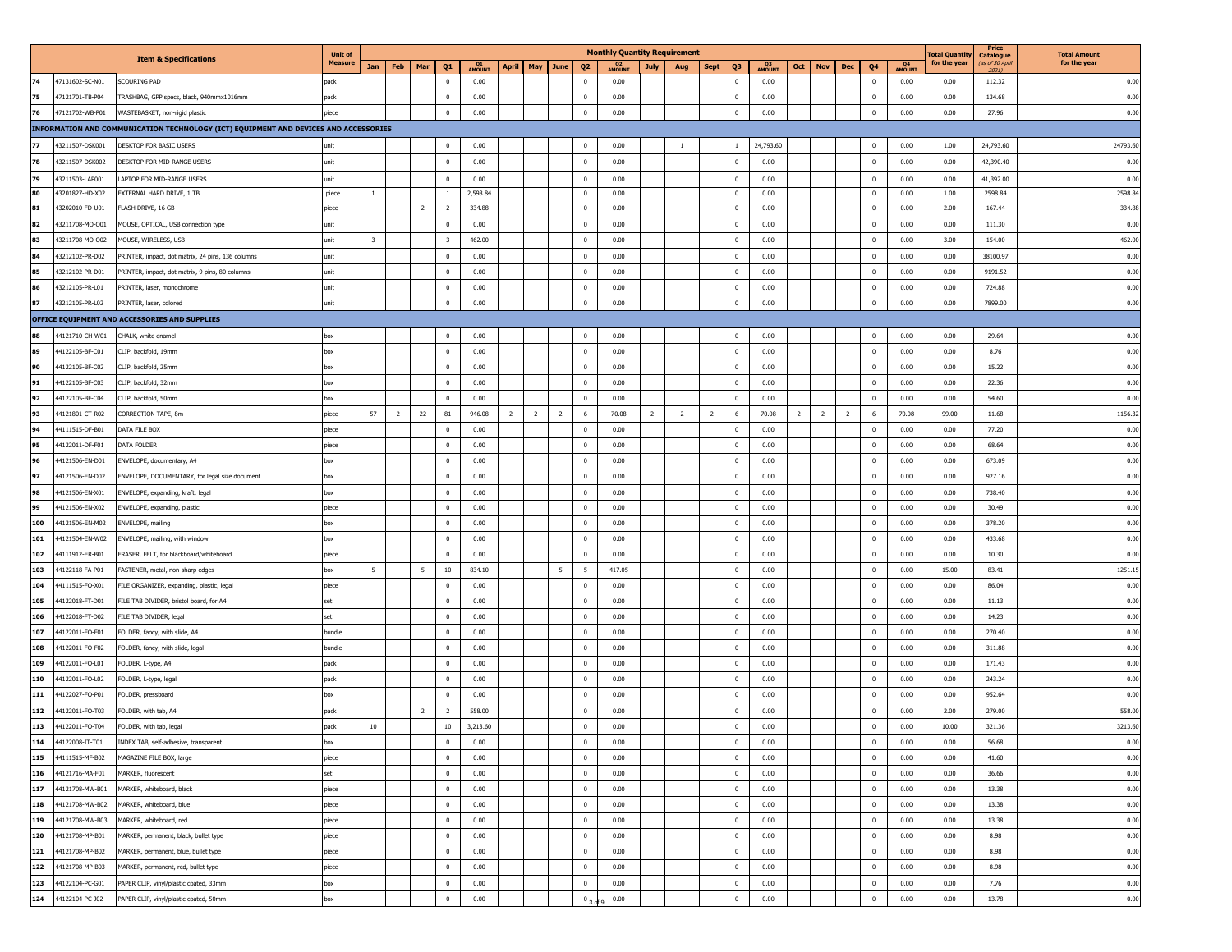|          |                                    |                                                                                      | <b>Unit of</b> |                         |                                  |              |                |                |                |                          | <b>Monthly Quantity Requirement</b> |      |                |                |                          |                       |                |                |                         |                     | <b>Total Quantity</b> | Price<br>Catalogue      | <b>Total Amount</b> |
|----------|------------------------------------|--------------------------------------------------------------------------------------|----------------|-------------------------|----------------------------------|--------------|----------------|----------------|----------------|--------------------------|-------------------------------------|------|----------------|----------------|--------------------------|-----------------------|----------------|----------------|-------------------------|---------------------|-----------------------|-------------------------|---------------------|
|          |                                    | <b>Item &amp; Specifications</b>                                                     | <b>Measure</b> | Feb<br>Jan              | Mar<br>Q <sub>1</sub>            | Q1<br>AMOUNI | <b>April</b>   | May            | June           | Q <sub>2</sub>           | Q <sub>2</sub><br><b>AMOUNT</b>     | July | Aug            | <b>Sept</b>    | Q3                       | Q <sub>3</sub><br>Oct | <b>Nov</b>     | Dec            | Q4                      | Q4<br><b>AMOUNT</b> | for the year          | (as of 30 Apr.<br>20211 | for the year        |
| 74       | 47131602-SC-N01                    | SCOURING PAD                                                                         | pack           |                         | $\overline{0}$                   | 0.00         |                |                |                | $^{\circ}$               | 0.00                                |      |                |                | $\mathbf 0$              | 0.00                  |                |                | $\bf{0}$                | 0.00                | 0.00                  | 112.32                  | 0.00                |
| 75       | 47121701-TB-P04                    | TRASHBAG, GPP specs, black, 940mmx1016mm                                             | pack           |                         | $\mathbf{0}$                     | 0.00         |                |                |                | $\Omega$                 | 0.00                                |      |                |                | $^{\circ}$               | 0.00                  |                |                | $\overline{0}$          | 0.00                | 0.00                  | 134.68                  | 0.00                |
| 76       | 47121702-WB-P01                    | WASTEBASKET, non-rigid plastic                                                       | piece          |                         | $^{\circ}$                       | 0.00         |                |                |                | $\mathbf 0$              | 0.00                                |      |                |                | $\mathbf{0}$             | 0.00                  |                |                | $\mathbf 0$             | 0.00                | 0.00                  | 27.96                   | 0.00                |
|          |                                    | INFORMATION AND COMMUNICATION TECHNOLOGY (ICT) EQUIPMENT AND DEVICES AND ACCESSORIES |                |                         |                                  |              |                |                |                |                          |                                     |      |                |                |                          |                       |                |                |                         |                     |                       |                         |                     |
| 77       | 43211507-DSK001                    | DESKTOP FOR BASIC USERS                                                              | unit           |                         | $\mathbf{0}$                     | 0.00         |                |                |                | $\mathbf{0}$             | 0.00                                |      | <sup>1</sup>   |                | <sup>1</sup>             | 24,793.60             |                |                | $\bf{0}$                | 0.00                | 1.00                  | 24,793.60               | 24793.60            |
| 78       | 43211507-DSK002                    | DESKTOP FOR MID-RANGE USERS                                                          | unit           |                         | $\mathbf{0}$                     | 0.00         |                |                |                | $\overline{0}$           | 0.00                                |      |                |                | $^{\circ}$               | 0.00                  |                |                | $\bf{0}$                | 0.00                | 0.00                  | 42,390.40               | 0.00                |
| 79       | 43211503-LAP001                    | LAPTOP FOR MID-RANGE USERS                                                           | unit           |                         | $\overline{0}$                   | 0.00         |                |                |                | $\overline{0}$           | 0.00                                |      |                |                | $\overline{\mathbf{0}}$  | 0.00                  |                |                | $\overline{0}$          | 0.00                | 0.00                  | 41,392.00               | 0.00                |
| 80       | 43201827-HD-X02                    | EXTERNAL HARD DRIVE, 1 TB                                                            | piece          | $\mathbf{1}$            | $\mathbf{1}$                     | 2,598.84     |                |                |                | $\overline{0}$           | 0.00                                |      |                |                | $\overline{\mathbf{0}}$  | 0.00                  |                |                | $\bf{0}$                | 0.00                | 1.00                  | 2598.84                 | 2598.84             |
| 81       | 43202010-FD-U01                    | FLASH DRIVE, 16 GB                                                                   | piece          |                         | $\overline{2}$<br>$\overline{2}$ | 334.88       |                |                |                | $\mathbf 0$              | 0.00                                |      |                |                | $\overline{0}$           | 0.00                  |                |                | $\,0\,$                 | 0.00                | 2.00                  | 167.44                  | 334.88              |
| 82       | 43211708-MO-O01                    | MOUSE, OPTICAL, USB connection type                                                  | unit           |                         | $\mathbf{0}$                     | 0.00         |                |                |                | $\mathbf{0}$             | 0.00                                |      |                |                | $\mathbf{0}$             | 0.00                  |                |                | $\overline{\mathbf{0}}$ | 0.00                | 0.00                  | 111.30                  | 0.00                |
| 83       | 43211708-MO-O02                    | MOUSE, WIRELESS, USB                                                                 | unit           | $\overline{\mathbf{3}}$ | $\overline{\mathbf{3}}$          | 462.00       |                |                |                | $\overline{0}$           | 0.00                                |      |                |                | $\overline{0}$           | 0.00                  |                |                | $\overline{0}$          | 0.00                | 3.00                  | 154.00                  | 462.00              |
| 84       | 43212102-PR-D02                    | PRINTER, impact, dot matrix, 24 pins, 136 columns                                    | unit           |                         | $\overline{0}$                   | 0.00         |                |                |                | $\overline{0}$           | 0.00                                |      |                |                | $\mathbf 0$              | 0.00                  |                |                | $\bf{0}$                | 0.00                | 0.00                  | 38100.97                | 0.00                |
| 85       | 43212102-PR-D01                    | PRINTER, impact, dot matrix, 9 pins, 80 columns                                      | unit           |                         | $\bf{0}$                         | 0.00         |                |                |                | $\mathbf{0}$             | 0.00                                |      |                |                | $\mathbf{0}$             | 0.00                  |                |                | $\overline{0}$          | 0.00                | 0.00                  | 9191.52                 | 0.00                |
| 86       | 43212105-PR-L01                    | PRINTER, laser, monochrome                                                           | unit           |                         | $\bf{0}$                         | 0.00         |                |                |                | $\mathbf 0$              | 0.00                                |      |                |                | $\overline{\phantom{0}}$ | 0.00                  |                |                | $\pmb{0}$               | 0.00                | 0.00                  | 724.88                  | 0.00                |
| 87       | 43212105-PR-L02                    | PRINTER, laser, colored                                                              | unit           |                         | $\overline{0}$                   | 0.00         |                |                |                | $\overline{0}$           | 0.00                                |      |                |                | $\mathbf 0$              | 0.00                  |                |                | $\pmb{0}$               | 0.00                | 0.00                  | 7899.00                 | 0.00                |
|          |                                    | OFFICE EQUIPMENT AND ACCESSORIES AND SUPPLIES                                        |                |                         |                                  |              |                |                |                |                          |                                     |      |                |                |                          |                       |                |                |                         |                     |                       |                         |                     |
|          | 44121710-CH-W01                    | CHALK, white enamel                                                                  | box            |                         | 0                                | 0.00         |                |                |                | $\overline{0}$           | 0.00                                |      |                |                | $\overline{\mathbf{0}}$  | 0.00                  |                |                | $\bf{0}$                | 0.00                | 0.00                  | 29.64                   | 0.00                |
|          | 44122105-BF-C01                    | CLIP, backfold, 19mm                                                                 | box            |                         | $\mathbf{0}$                     | 0.00         |                |                |                | $\overline{0}$           | 0.00                                |      |                |                | $\overline{0}$           | 0.00                  |                |                | $\overline{0}$          | 0.00                | 0.00                  | 8.76                    | 0.00                |
| 90       | 44122105-BF-C02                    | CLIP, backfold, 25mm                                                                 | box            |                         | $\mathbf{0}$                     | 0.00         |                |                |                | $\mathbf{0}$             | 0.00                                |      |                |                | $\overline{\mathbf{0}}$  | 0.00                  |                |                | $\overline{\mathbf{0}}$ | 0.00                | 0.00                  | 15.22                   | 0.00                |
| 91       | 44122105-BF-C03                    | CLIP, backfold, 32mm                                                                 |                |                         |                                  | 0.00         |                |                |                | 0                        | 0.00                                |      |                |                | $\mathbf 0$              |                       |                |                | $\pmb{0}$               | 0.00                | 0.00                  | 22.36                   | 0.00                |
|          |                                    |                                                                                      | box            |                         | $\mathbf 0$<br>$\mathbf{0}$      |              |                |                |                |                          |                                     |      |                |                |                          | 0.00                  |                |                |                         |                     |                       |                         |                     |
| 92<br>93 | 44122105-BF-C04<br>44121801-CT-R02 | CLIP, backfold, 50mm<br>CORRECTION TAPE, 8m                                          | box            | 57                      | 81                               | 0.00         | $\overline{2}$ | $\overline{2}$ |                | $\overline{0}$<br>- 6    | 0.00                                | 2    |                | $\overline{2}$ | $\overline{0}$           | 0.00<br>2             | $\overline{2}$ | $\overline{2}$ | $\bf{0}$                | 0.00                | 0.00                  | 54.60                   | 0.00                |
|          |                                    | DATA FILE BOX                                                                        | piece          | $\overline{2}$          | $22\,$                           | 946.08       |                |                | $\overline{2}$ |                          | 70.08                               |      | $\overline{2}$ |                | 6                        | 70.08                 |                |                | 6                       | 70.08               | 99.00                 | 11.68                   | 1156.32             |
| 94       | 44111515-DF-B01                    |                                                                                      | piece          |                         | $\mathbf{0}$                     | 0.00         |                |                |                | $\mathbf{0}$             | 0.00                                |      |                |                | $\mathbf{0}$             | 0.00                  |                |                | $\overline{0}$          | 0.00                | 0.00                  | 77.20                   | 0.00                |
| 95<br>96 | 44122011-DF-F01                    | DATA FOLDER                                                                          | piece          |                         | $\bf{0}$                         | 0.00         |                |                |                | $\overline{0}$           | 0.00                                |      |                |                | $\overline{\phantom{0}}$ | 0.00                  |                |                | $\pmb{0}$               | 0.00                | 0.00                  | 68.64                   | 0.00                |
|          | 44121506-EN-D01                    | ENVELOPE, documentary, A4                                                            | box            |                         | $\overline{0}$                   | 0.00         |                |                |                | $\overline{0}$           | 0.00                                |      |                |                | $\overline{\mathbf{0}}$  | 0.00                  |                |                | $\mathbf{0}$            | 0.00                | 0.00                  | 673.09                  | 0.00                |
| 97       | 44121506-EN-D02                    | ENVELOPE, DOCUMENTARY, for legal size document                                       | box            |                         | $\bf{0}$                         | 0.00         |                |                |                | $\mathbf{0}$             | 0.00                                |      |                |                | $\mathbf{0}$             | 0.00                  |                |                | $\overline{0}$          | 0.00                | 0.00                  | 927.16                  | 0.00                |
| 98       | 44121506-EN-X01                    | ENVELOPE, expanding, kraft, legal                                                    | box            |                         | $\mathbf{0}$                     | 0.00         |                |                |                | $\mathbf{0}$             | 0.00                                |      |                |                | $\mathbf 0$              | 0.00                  |                |                | $\pmb{0}$               | 0.00                | 0.00                  | 738.40                  | 0.00                |
| 99       | 44121506-EN-X02                    | ENVELOPE, expanding, plastic                                                         | piece          |                         | $\overline{0}$                   | 0.00         |                |                |                | $\overline{0}$           | 0.00                                |      |                |                | $\overline{\mathbf{0}}$  | 0.00                  |                |                | $\overline{\mathbf{0}}$ | 0.00                | 0.00                  | 30.49                   | 0.00                |
| 100      | 44121506-EN-M02                    | ENVELOPE, mailing                                                                    | box            |                         | $\mathbf{0}$                     | 0.00         |                |                |                | $\mathbf{0}$             | 0.00                                |      |                |                | $\mathbf{0}$             | 0.00                  |                |                | $\overline{0}$          | 0.00                | 0.00                  | 378.20                  | 0.00                |
| 101      | 44121504-EN-W02                    | ENVELOPE, mailing, with window                                                       | box            |                         | $\mathbf{0}$                     | 0.00         |                |                |                | $\mathbf{0}$             | 0.00                                |      |                |                | $\overline{0}$           | 0.00                  |                |                | $\pmb{0}$               | 0.00                | 0.00                  | 433.68                  | 0.00                |
| 102      | 44111912-ER-B01                    | ERASER, FELT, for blackboard/whiteboard                                              | piece          |                         | $\overline{0}$                   | 0.00         |                |                |                | $\overline{0}$           | 0.00                                |      |                |                | $\overline{\mathbf{0}}$  | 0.00                  |                |                | $\bf{0}$                | 0.00                | 0.00                  | 10.30                   | 0.00                |
| 103      | 44122118-FA-P01                    | FASTENER, metal, non-sharp edges                                                     | box            | -5                      | 10<br>5                          | 834.10       |                |                | 5              | 5                        | 417.05                              |      |                |                | $\overline{\mathbf{0}}$  | 0.00                  |                |                | $\overline{0}$          | 0.00                | 15.00                 | 83.41                   | 1251.15             |
| 104      | 44111515-FO-X01                    | FILE ORGANIZER, expanding, plastic, legal                                            | piece          |                         | $\mathbf{0}$                     | 0.00         |                |                |                | $\mathbf{0}$<br>$\Omega$ | 0.00                                |      |                |                | $\overline{\mathbf{0}}$  | 0.00                  |                |                | $\pmb{0}$               | 0.00                | 0.00                  | 86.04                   | 0.00                |
| 105      | 44122018-FT-D01                    | FILE TAB DIVIDER, bristol board, for A4                                              | set            |                         | $\mathbf{0}$                     | 0.00         |                |                |                |                          | 0.00                                |      |                |                | $\overline{0}$           | 0.00                  |                |                | $\overline{0}$          | 0.00                | 0.00                  | 11.13                   | 0.00                |
| 106      | 44122018-FT-D02                    | FILE TAB DIVIDER, legal                                                              | set            |                         | $\mathbf{0}$                     | 0.00         |                |                |                | $\mathbf{0}$             | 0.00                                |      |                |                | $\mathbf{0}$             | 0.00                  |                |                | $\overline{0}$          | 0.00                | 0.00                  | 14.23                   | 0.00                |
| 107      | 44122011-FO-F01                    | FOLDER, fancy, with slide, A4                                                        | bundle         |                         | $\bf{0}$                         | 0.00         |                |                |                | $\mathbf{0}$             | 0.00                                |      |                |                | $\overline{\mathbf{0}}$  | 0.00                  |                |                | $\,0\,$                 | 0.00                | 0.00                  | 270.40                  | 0.00                |
| 108      | 44122011-FO-F02                    | FOLDER, fancy, with slide, legal                                                     | bundle         |                         | $\overline{0}$                   | 0.00         |                |                |                | $\overline{0}$           | 0.00                                |      |                |                | $\overline{\mathbf{0}}$  | 0.00                  |                |                | $\bf{0}$                | 0.00                | 0.00                  | 311.88                  | 0.00                |
| 109      | 44122011-FO-L01                    | FOLDER, L-type, A4                                                                   | pack           |                         | $\mathbf{0}$                     | 0.00         |                |                |                | $\overline{0}$           | 0.00                                |      |                |                | $\overline{\mathbf{0}}$  | 0.00                  |                |                | $\overline{0}$          | 0.00                | 0.00                  | 171.43                  | 0.00                |
| 110      | 44122011-FO-L02                    | FOLDER, L-type, legal                                                                | pack           |                         | $\mathbf{0}$                     | 0.00         |                |                |                | $\mathbf{0}$             | 0.00                                |      |                |                | $\overline{\mathbf{0}}$  | 0.00                  |                |                | $\bf{0}$                | 0.00                | 0.00                  | 243.24                  | 0.00                |
| 111      | 44122027-FO-P01                    | FOLDER, pressboard                                                                   | box            |                         | $^{\circ}$                       | 0.00         |                |                |                | $^{\circ}$               | 0.00                                |      |                |                | $\overline{0}$           | 0.00                  |                |                | $\pmb{0}$               | 0.00                | 0.00                  | 952.64                  | 0.00                |
| 112      | 44122011-FO-T03                    | FOLDER, with tab, A4                                                                 | pack           |                         | $\overline{2}$<br>$\overline{2}$ | 558.00       |                |                |                | $\overline{0}$           | 0.00                                |      |                |                | $\overline{\mathbf{0}}$  | 0.00                  |                |                | $\bf{0}$                | 0.00                | 2.00                  | 279.00                  | 558.00              |
| 113      | 44122011-FO-T04                    | FOLDER, with tab, legal                                                              | pack           | $10\,$                  | 10                               | 3,213.60     |                |                |                | $\mathbf{0}$             | 0.00                                |      |                |                | $\overline{0}$           | 0.00                  |                |                | $\pmb{0}$               | 0.00                | 10.00                 | 321.36                  | 3213.60             |
|          | 114 44122008-IT-T01                | INDEX TAB, self-adhesive, transparent                                                | <b>DOX</b>     |                         | U                                | 0.00         |                |                |                | $\mathbf{0}$             | 0.00                                |      |                |                | $\mathbf 0$              | 0.00                  |                |                | $^{\circ}$              | 0.00                | 0.00                  | 56.68                   | 0.00                |
| 115      | 44111515-MF-B02                    | MAGAZINE FILE BOX, large                                                             | piece          |                         | $\bf{0}$                         | 0.00         |                |                |                | $\bf{0}$                 | 0.00                                |      |                |                | $\bf{0}$                 | 0.00                  |                |                | $\bf{0}$                | 0.00                | 0.00                  | 41.60                   | 0.00                |
| 116      | 44121716-MA-F01                    | MARKER, fluorescent                                                                  | set            |                         | $\overline{0}$                   | 0.00         |                |                |                | $\bf{0}$                 | 0.00                                |      |                |                | $\overline{0}$           | 0.00                  |                |                | $\bullet$               | 0.00                | 0.00                  | 36.66                   | 0.00                |
| 117      | 44121708-MW-B01                    | MARKER, whiteboard, black                                                            | piece          |                         | $\overline{0}$                   | 0.00         |                |                |                | $\mathbf{0}$             | 0.00                                |      |                |                | $\overline{\mathbf{0}}$  | 0.00                  |                |                | $\overline{0}$          | 0.00                | 0.00                  | 13.38                   | 0.00                |
| 118      | 44121708-MW-B02                    | MARKER, whiteboard, blue                                                             | piece          |                         | $\overline{0}$                   | 0.00         |                |                |                | $\bf{0}$                 | 0.00                                |      |                |                | $\overline{\phantom{0}}$ | 0.00                  |                |                | $\bf{0}$                | 0.00                | 0.00                  | 13.38                   | 0.00                |
| 119      | 44121708-MW-B03                    | MARKER, whiteboard, red                                                              | piece          |                         | $\bf{0}$                         | 0.00         |                |                |                | $\bf{0}$                 | 0.00                                |      |                |                | $\overline{0}$           | 0.00                  |                |                | $\overline{0}$          | 0.00                | 0.00                  | 13.38                   | 0.00                |
| 120      | 44121708-MP-B01                    | MARKER, permanent, black, bullet type                                                | piece          |                         | $\overline{0}$                   | 0.00         |                |                |                | $\mathbf{0}$             | 0.00                                |      |                |                | $\overline{0}$           | 0.00                  |                |                | $\overline{0}$          | 0.00                | 0.00                  | 8.98                    | 0.00                |
| 121      | 44121708-MP-B02                    | MARKER, permanent, blue, bullet type                                                 | piece          |                         | $\overline{0}$                   | 0.00         |                |                |                | $\bf{0}$                 | 0.00                                |      |                |                | $\overline{\mathbf{0}}$  | 0.00                  |                |                | $\overline{0}$          | 0.00                | 0.00                  | 8.98                    | 0.00                |
| 122      | 44121708-MP-B03                    | MARKER, permanent, red, bullet type                                                  | piece          |                         | $\bf{0}$                         | 0.00         |                |                |                | $\overline{0}$           | 0.00                                |      |                |                | $\overline{0}$           | 0.00                  |                |                | $\overline{0}$          | 0.00                | 0.00                  | 8.98                    | 0.00                |
| 123      | 44122104-PC-G01                    | PAPER CLIP, vinyl/plastic coated, 33mm                                               | box            |                         | $\bf{0}$                         | 0.00         |                |                |                | $\mathbf{0}$             | 0.00                                |      |                |                | $\overline{0}$           | 0.00                  |                |                | $\overline{0}$          | 0.00                | 0.00                  | 7.76                    | 0.00                |
| 124      | 44122104-PC-J02                    | PAPER CLIP, vinyl/plastic coated, 50mm                                               | box            |                         | $\bf{0}$                         | 0.00         |                |                |                | $0_{30}$                 | 0.00                                |      |                |                | $\overline{0}$           | 0.00                  |                |                | $\overline{0}$          | 0.00                | 0.00                  | 13.78                   | 0.00                |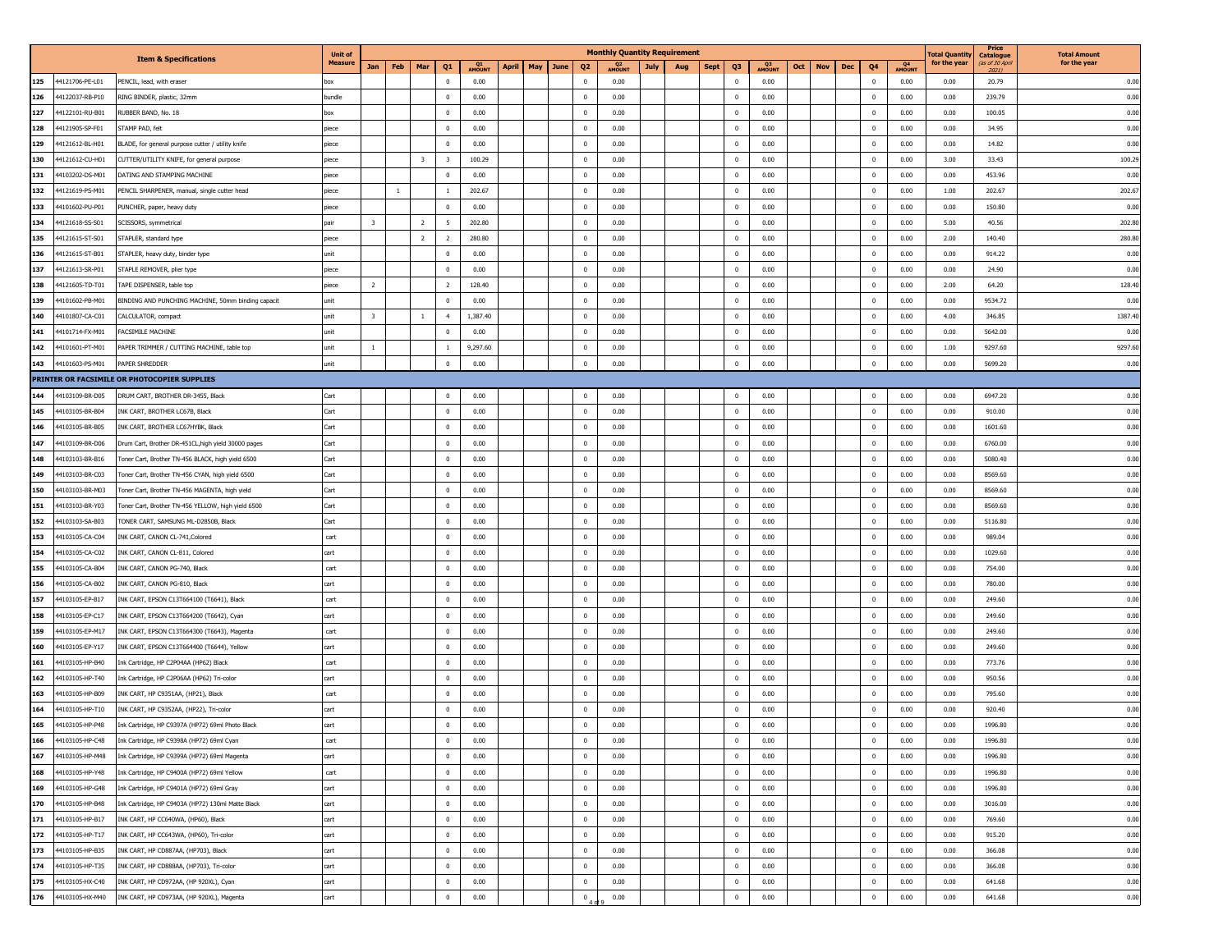|     |                 |                                                     | <b>Unit of</b> |              |                |                                                    |              |              |             |                | <b>Monthly Quantity Requirement</b>     |     |             |              |      |     |                   |              |              | <b>Total Quanti</b> | Price<br><b>Catalogue</b> | <b>Total Amount</b> |
|-----|-----------------|-----------------------------------------------------|----------------|--------------|----------------|----------------------------------------------------|--------------|--------------|-------------|----------------|-----------------------------------------|-----|-------------|--------------|------|-----|-------------------|--------------|--------------|---------------------|---------------------------|---------------------|
|     |                 | <b>Item &amp; Specifications</b>                    | <b>Measure</b> | Jan          | Feb            | Mar<br>Q1                                          | Q1<br>AMOUNT | <b>April</b> | May<br>June | Q <sub>2</sub> | Q <sub>2</sub><br>AMOUNT<br><b>July</b> | Aug | <b>Sept</b> | Q3           | Q3   | Oct | <b>Nov</b><br>Dec | Q4           | Q4<br>AMOUNT | for the year        | (as of 30 Apri<br>2021)   | for the year        |
| 125 | 44121706-PE-L01 | PENCIL, lead, with eraser                           | box            |              |                | $\mathbf{0}$                                       | 0.00         |              |             | $\Omega$       | 0.00                                    |     |             | $^{\circ}$   | 0.00 |     |                   | $\mathbf 0$  | 0.00         | 0.00                | 20.79                     | 0.00                |
| 126 | 44122037-RB-P10 | RING BINDER, plastic, 32mm                          | bundle         |              |                | $^{\circ}$                                         | 0.00         |              |             | $\overline{0}$ | 0.00                                    |     |             | $\bf{0}$     | 0.00 |     |                   | $\pmb{0}$    | 0.00         | 0.00                | 239.79                    | 0.00                |
| 127 | 44122101-RU-B01 | RUBBER BAND, No. 18                                 | box            |              |                | $\overline{0}$                                     | 0.00         |              |             | $\mathbf 0$    | 0.00                                    |     |             | $\bf{0}$     | 0.00 |     |                   | $\bf{0}$     | 0.00         | 0.00                | 100.05                    | 0.00                |
| 128 | 44121905-SP-F01 | STAMP PAD, felt                                     | piece          |              |                | $^{\circ}$                                         | 0.00         |              |             | $\Omega$       | 0.00                                    |     |             | $^{\circ}$   | 0.00 |     |                   | $\mathbf{0}$ | 0.00         | 0.00                | 34.95                     | 0.00                |
| 129 | 44121612-BL-H01 | BLADE, for general purpose cutter / utility knife   | piece          |              |                | $^{\circ}$                                         | 0.00         |              |             | $\overline{0}$ | 0.00                                    |     |             | $^{\circ}$   | 0.00 |     |                   | $\mathbf 0$  | 0.00         | 0.00                | 14.82                     | 0.00                |
| 130 | 44121612-CU-H01 | CUTTER/UTILITY KNIFE, for general purpose           | piece          |              |                | $\overline{\mathbf{3}}$<br>$\overline{\mathbf{3}}$ | 100.29       |              |             | $^{\circ}$     | 0.00                                    |     |             | $\bf{0}$     | 0.00 |     |                   | $\bf{0}$     | 0.00         | 3.00                | 33.43                     | 100.29              |
| 131 | 44103202-DS-M01 | DATING AND STAMPING MACHINE                         | piece          |              |                | $^{\circ}$                                         | 0.00         |              |             | $\Omega$       | 0.00                                    |     |             | $^{\circ}$   | 0.00 |     |                   | 0            | 0.00         | 0.00                | 453.96                    | 0.00                |
| 132 | 44121619-PS-M01 | PENCIL SHARPENER, manual, single cutter head        | piece          |              | 1              | 1                                                  | 202.67       |              |             | $\overline{0}$ | 0.00                                    |     |             | $^{\circ}$   | 0.00 |     |                   | $\bf{0}$     | 0.00         | 1.00                | 202.67                    | 202.67              |
| 133 | 44101602-PU-P01 | PUNCHER, paper, heavy duty                          | piece          |              |                | $\mathbf{0}$                                       | 0.00         |              |             | $\overline{0}$ | 0.00                                    |     |             | $^{\circ}$   | 0.00 |     |                   | $\pmb{0}$    | 0.00         | 0.00                | 150.80                    | 0.00                |
| 134 | 44121618-SS-S01 | SCISSORS, symmetrical                               | pair           | 3            | $\overline{2}$ | -5                                                 | 202.80       |              |             | $\mathbf{0}$   | 0.00                                    |     |             | $\bf{0}$     | 0.00 |     |                   | $\bf{0}$     | 0.00         | 5.00                | 40.56                     | 202.80              |
| 135 | 44121615-ST-S01 | STAPLER, standard type                              | piece          |              |                | $\overline{2}$<br>$\overline{2}$                   | 280.80       |              |             | $\Omega$       | 0.00                                    |     |             | $^{\circ}$   | 0.00 |     |                   | $\bf{0}$     | 0.00         | 2.00                | 140.40                    | 280.80              |
| 136 | 44121615-ST-B01 | STAPLER, heavy duty, binder type                    | unit           |              |                | $^{\circ}$                                         | 0.00         |              |             | $\mathbf{0}$   | 0.00                                    |     |             | $^{\circ}$   | 0.00 |     |                   | $\mathbf 0$  | 0.00         | 0.00                | 914.22                    | 0.00                |
| 137 | 44121613-SR-P01 | STAPLE REMOVER, plier type                          | piece          |              |                | $^{\circ}$                                         | 0.00         |              |             | $\mathbf{0}$   | 0.00                                    |     |             | $\bf{0}$     | 0.00 |     |                   | $\bf{0}$     | 0.00         | 0.00                | 24.90                     | 0.00                |
| 138 | 44121605-TD-T01 | TAPE DISPENSER, table top                           | piece          | <sup>2</sup> |                | $\overline{2}$                                     | 128.40       |              |             | $\mathbf{0}$   | 0.00                                    |     |             | $\bf{0}$     | 0.00 |     |                   | $\bf{0}$     | 0.00         | 2.00                | 64.20                     | 128.40              |
| 139 | 44101602-PB-M01 | BINDING AND PUNCHING MACHINE, 50mm binding capacit  | unit           |              |                | $^{\circ}$                                         | 0.00         |              |             | $\mathbf{0}$   | 0.00                                    |     |             | $^{\circ}$   | 0.00 |     |                   | $\mathbf 0$  | 0.00         | 0.00                | 9534.72                   | 0.00                |
| 140 | 44101807-CA-C01 | CALCULATOR, compact                                 | unit           | 3            | $\overline{1}$ | $\overline{4}$                                     | 1,387.40     |              |             | $\mathbf 0$    | 0.00                                    |     |             | $\bf{0}$     | 0.00 |     |                   | $\bf{0}$     | 0.00         | 4.00                | 346.85                    | 1387.40             |
| 141 | 44101714-FX-M01 | FACSIMILE MACHINE                                   | unit           |              |                | $\overline{0}$                                     | 0.00         |              |             | $\mathbf{0}$   | 0.00                                    |     |             | $\bf{0}$     | 0.00 |     |                   | $\bf{0}$     | 0.00         | 0.00                | 5642.00                   | 0.00                |
| 142 | 44101601-PT-M01 | PAPER TRIMMER / CUTTING MACHINE, table top          | unit           | -1           |                | $\mathbf{1}$                                       | 9,297.60     |              |             | $\Omega$       | 0.00                                    |     |             | $^{\circ}$   | 0.00 |     |                   | $\bf{0}$     | 0.00         | 1.00                | 9297.60                   | 9297.60             |
| 143 | 44101603-PS-M01 | PAPER SHREDDER                                      | unit           |              |                | $\mathbf{0}$                                       | 0.00         |              |             | $\mathbf 0$    | 0.00                                    |     |             | $\mathbf 0$  | 0.00 |     |                   | $\pmb{0}$    | 0.00         | 0.00                | 5699.20                   | 0.00                |
|     |                 | PRINTER OR FACSIMILE OR PHOTOCOPIER SUPPLIES        |                |              |                |                                                    |              |              |             |                |                                         |     |             |              |      |     |                   |              |              |                     |                           |                     |
| 144 | 44103109-BR-D05 | DRUM CART, BROTHER DR-3455, Black                   | Cart           |              |                | $^{\circ}$                                         | 0.00         |              |             | $\overline{0}$ | 0.00                                    |     |             | $^{\circ}$   | 0.00 |     |                   | $\bf{0}$     | 0.00         | 0.00                | 6947.20                   | 0.00                |
| 145 | 44103105-BR-B04 | INK CART, BROTHER LC67B, Black                      | Cart           |              |                | $^{\circ}$                                         | 0.00         |              |             | $\mathbf{0}$   | 0.00                                    |     |             | $^{\circ}$   | 0.00 |     |                   | $\bf{0}$     | 0.00         | 0.00                | 910.00                    | 0.00                |
| 146 | 44103105-BR-B05 | INK CART, BROTHER LC67HYBK, Black                   | Cart           |              |                | $\bf{0}$                                           | 0.00         |              |             | $\mathbf{0}$   | 0.00                                    |     |             | $\bf{0}$     | 0.00 |     |                   | $\bf{0}$     | 0.00         | 0.00                | 1601.60                   | 0.00                |
| 147 | 44103109-BR-D06 | Drum Cart, Brother DR-451CL, high yield 30000 pages | Cart           |              |                | $^{\circ}$                                         | 0.00         |              |             | $\Omega$       | 0.00                                    |     |             | $^{\circ}$   | 0.00 |     |                   | $\bf{0}$     | 0.00         | 0.00                | 6760.00                   | 0.00                |
| 148 | 44103103-BR-B16 | Toner Cart, Brother TN-456 BLACK, high yield 6500   | Cart           |              |                | $^{\circ}$                                         | 0.00         |              |             | $\mathbf{0}$   | 0.00                                    |     |             | $\bf{0}$     | 0.00 |     |                   | $\bf{0}$     | 0.00         | 0.00                | 5080.40                   | 0.00                |
| 149 | 44103103-BR-C03 | Toner Cart, Brother TN-456 CYAN, high yield 6500    | Cart           |              |                | $\bf{0}$                                           | 0.00         |              |             | $\mathbf 0$    | 0.00                                    |     |             | $\bf{0}$     | 0.00 |     |                   | $\bf{0}$     | 0.00         | 0.00                | 8569.60                   | 0.00                |
| 150 | 44103103-BR-M03 | Toner Cart, Brother TN-456 MAGENTA, high yield      | Cart           |              |                | $^{\circ}$                                         | 0.00         |              |             | $\Omega$       | 0.00                                    |     |             | $^{\circ}$   | 0.00 |     |                   | $\bf{0}$     | 0.00         | 0.00                | 8569.60                   | 0.00                |
| 151 | 44103103-BR-Y03 | Toner Cart, Brother TN-456 YELLOW, high yield 6500  | Cart           |              |                | $^{\circ}$                                         | 0.00         |              |             | $\mathbf{0}$   | 0.00                                    |     |             | $^{\circ}$   | 0.00 |     |                   | $\mathbf 0$  | 0.00         | 0.00                | 8569.60                   | 0.00                |
| 152 | 44103103-SA-B03 | FONER CART, SAMSUNG ML-D2850B, Black                | Cart           |              |                | $^{\circ}$                                         | 0.00         |              |             | $\mathbf{0}$   | 0.00                                    |     |             | $\bf{0}$     | 0.00 |     |                   | $\bf{0}$     | 0.00         | 0.00                | 5116.80                   | 0.00                |
| 153 | 44103105-CA-C04 | INK CART, CANON CL-741, Colored                     | cart           |              |                | $\bf{0}$                                           | 0.00         |              |             | $\mathbf{0}$   | 0.00                                    |     |             | $\bf{0}$     | 0.00 |     |                   | $\bf{0}$     | 0.00         | 0.00                | 989.04                    | 0.00                |
| 154 | 44103105-CA-C02 | INK CART, CANON CL-811, Colored                     | cart           |              |                | $^{\circ}$                                         | 0.00         |              |             | $\Omega$       | 0.00                                    |     |             | $^{\circ}$   | 0.00 |     |                   | $\mathbf{0}$ | 0.00         | 0.00                | 1029.60                   | 0.00                |
| 155 | 44103105-CA-B04 | INK CART, CANON PG-740, Black                       | cart           |              |                | $^{\circ}$                                         | 0.00         |              |             | $^{\circ}$     | 0.00                                    |     |             | $^{\circ}$   | 0.00 |     |                   | $\mathbf 0$  | 0.00         | 0.00                | 754.00                    | 0.00                |
| 156 | 44103105-CA-B02 | INK CART, CANON PG-810, Black                       | cart           |              |                | $^{\circ}$                                         | 0.00         |              |             | $\mathbf{0}$   | 0.00                                    |     |             | $^{\circ}$   | 0.00 |     |                   | $\mathbf 0$  | 0.00         | 0.00                | 780.00                    | 0.00                |
| 157 | 44103105-EP-B17 | INK CART, EPSON C13T664100 (T6641), Black           | cart           |              |                | $^{\circ}$                                         | 0.00         |              |             | $\Omega$       | 0.00                                    |     |             | $^{\circ}$   | 0.00 |     |                   | $\bf{0}$     | 0.00         | 0.00                | 249.60                    | 0.00                |
| 158 | 44103105-EP-C17 | INK CART, EPSON C13T664200 (T6642), Cyan            | cart           |              |                | $^{\circ}$                                         | 0.00         |              |             | $^{\circ}$     | 0.00                                    |     |             | $^{\circ}$   | 0.00 |     |                   | $\mathbf 0$  | 0.00         | 0.00                | 249.60                    | 0.00                |
| 159 | 44103105-EP-M17 | INK CART, EPSON C13T664300 (T6643), Magenta         | cart           |              |                | $\bf{0}$                                           | 0.00         |              |             | $\mathbf{0}$   | 0.00                                    |     |             | $\bf{0}$     | 0.00 |     |                   | $\pmb{0}$    | 0.00         | 0.00                | 249.60                    | 0.00                |
| 160 | 44103105-EP-Y17 | INK CART, EPSON C13T664400 (T6644), Yellow          | cart           |              |                | $\bf{0}$                                           | 0.00         |              |             | $\mathbf 0$    | 0.00                                    |     |             | $\bf{0}$     | 0.00 |     |                   | $\bf{0}$     | 0.00         | 0.00                | 249.60                    | 0.00                |
| 161 | 44103105-HP-B40 | Ink Cartridge, HP C2P04AA (HP62) Black              | cart           |              |                | $\bf{0}$                                           | 0.00         |              |             | $\overline{0}$ | 0.00                                    |     |             | $^{\circ}$   | 0.00 |     |                   | $\bf{0}$     | 0.00         | 0.00                | 773.76                    | 0.00                |
| 162 | 44103105-HP-T40 | Ink Cartridge, HP C2P06AA (HP62) Tri-color          | cart           |              |                | $\mathbf{0}$                                       | 0.00         |              |             | $\Omega$       | 0.00                                    |     |             | $^{\circ}$   | 0.00 |     |                   | $\mathbf 0$  | 0.00         | 0.00                | 950.56                    | 0.00                |
| 163 | 44103105-HP-B09 | INK CART, HP C9351AA, (HP21), Black                 | cart           |              |                | $^{\circ}$                                         | 0.00         |              |             | $\mathbf{0}$   | 0.00                                    |     |             | $^{\circ}$   | 0.00 |     |                   | $\mathbf 0$  | 0.00         | 0.00                | 795.60                    | 0.00                |
| 164 | 44103105-HP-T10 | INK CART, HP C9352AA, (HP22), Tri-color             | cart           |              |                | $^{\circ}$                                         | 0.00         |              |             | $\mathbf{0}$   | 0.00                                    |     |             | $^{\circ}$   | 0.00 |     |                   | $\bf{0}$     | 0.00         | 0.00                | 920.40                    | 0.00                |
| 165 | 44103105-HP-P48 | Ink Cartridge, HP C9397A (HP72) 69ml Photo Black    | cart           |              |                | $\mathbf{0}$                                       | 0.00         |              |             | $\Omega$       | 0.00                                    |     |             | $\Omega$     | 0.00 |     |                   | $\mathbf 0$  | 0.00         | 0.00                | 1996.80                   | 0.00                |
| 166 | 44103105-HP-C48 | Ink Cartridge, HP C9398A (HP72) 69ml Cyan           | cart           |              |                | U                                                  | 0.00         |              |             | U              | 0.00                                    |     |             | U            | 0.00 |     |                   | U            | 0.00         | 0.00                | 1996.80                   | 0.00                |
| 167 | 44103105-HP-M48 | Ink Cartridge, HP C9399A (HP72) 69ml Magenta        | cart           |              |                | $\bf{0}$                                           | 0.00         |              |             | $\mathbf 0$    | 0.00                                    |     |             | $\bf{0}$     | 0.00 |     |                   | $\bf{0}$     | 0.00         | 0.00                | 1996.80                   | 0.00                |
| 168 | 44103105-HP-Y48 | Ink Cartridge, HP C9400A (HP72) 69ml Yellow         | cart           |              |                | $\bf{0}$                                           | 0.00         |              |             | $\mathbf 0$    | 0.00                                    |     |             | $\mathbf{0}$ | 0.00 |     |                   | $\bf{0}$     | 0.00         | 0.00                | 1996.80                   | 0.00                |
| 169 | 44103105-HP-G48 | Ink Cartridge, HP C9401A (HP72) 69ml Gray           | cart           |              |                | $\overline{0}$                                     | 0.00         |              |             | $\overline{0}$ | 0.00                                    |     |             | $\mathbf{0}$ | 0.00 |     |                   | $\bf{0}$     | 0.00         | 0.00                | 1996.80                   | 0.00                |
| 170 | 44103105-HP-B48 | Ink Cartridge, HP C9403A (HP72) 130ml Matte Black   | cart           |              |                | $\mathbf 0$                                        | 0.00         |              |             | $\mathbf 0$    | 0.00                                    |     |             | $\pmb{0}$    | 0.00 |     |                   | $\mathbf 0$  | 0.00         | 0.00                | 3016.00                   | 0.00                |
| 171 | 44103105-HP-B17 | INK CART, HP CC640WA, (HP60), Black                 | cart           |              |                | $\bf{0}$                                           | 0.00         |              |             | $\mathbf 0$    | 0.00                                    |     |             | $\bf{0}$     | 0.00 |     |                   | $\bf{0}$     | 0.00         | 0.00                | 769.60                    | 0.00                |
| 172 | 44103105-HP-T17 | INK CART, HP CC643WA, (HP60), Tri-color             | cart           |              |                | $\overline{0}$                                     | 0.00         |              |             | $\overline{0}$ | 0.00                                    |     |             | $\mathbf{0}$ | 0.00 |     |                   | $\bf{0}$     | 0.00         | 0.00                | 915.20                    | 0.00                |
| 173 | 44103105-HP-B35 | INK CART, HP CD887AA, (HP703), Black                | cart           |              |                | $\mathbf{0}$                                       | 0.00         |              |             | $\overline{0}$ | 0.00                                    |     |             | $\mathbf{0}$ | 0.00 |     |                   | $\bf{0}$     | 0.00         | 0.00                | 366.08                    | 0.00                |
| 174 | 44103105-HP-T35 | INK CART, HP CD888AA, (HP703), Tri-color            | cart           |              |                | $\bf{0}$                                           | 0.00         |              |             | $\overline{0}$ | 0.00                                    |     |             | $\bf{0}$     | 0.00 |     |                   | $\bf{0}$     | 0.00         | 0.00                | 366.08                    | 0.00                |
| 175 | 44103105-HX-C40 | INK CART, HP CD972AA, (HP 920XL), Cyan              | cart           |              |                | $\bf{0}$                                           | 0.00         |              |             | $\overline{0}$ | 0.00                                    |     |             | $\bf{0}$     | 0.00 |     |                   | $\pmb{0}$    | 0.00         | 0.00                | 641.68                    | 0.00                |
| 176 | 44103105-HX-M40 | INK CART, HP CD973AA, (HP 920XL), Magenta           | cart           |              |                | $\mathbf{0}$                                       | 0.00         |              |             | $\mathbf 0$    | 0.00                                    |     |             | $\mathbf{0}$ | 0.00 |     |                   | $\mathbf 0$  | 0.00         | 0.00                | 641.68                    | 0.00                |
|     |                 |                                                     |                |              |                |                                                    |              |              |             |                |                                         |     |             |              |      |     |                   |              |              |                     |                           |                     |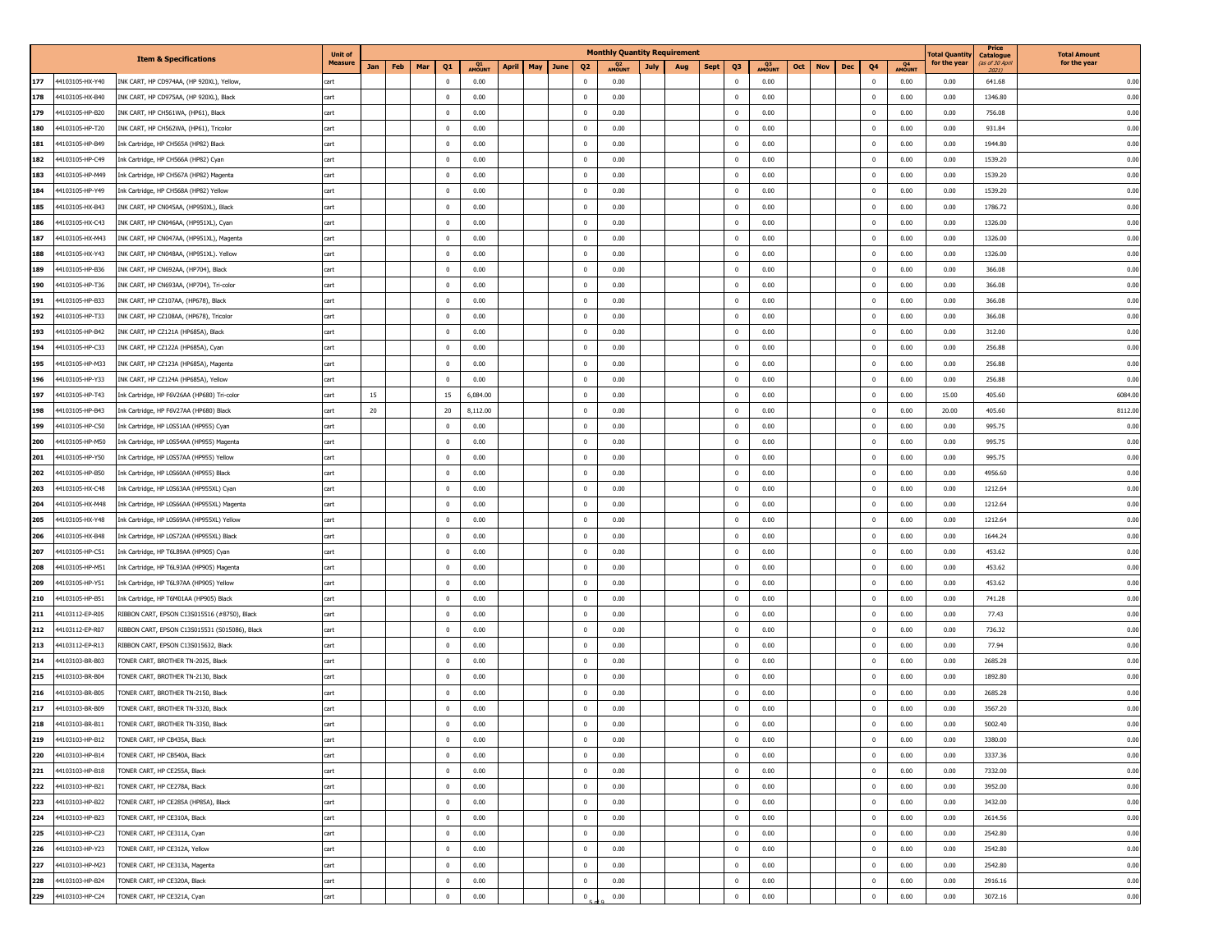|     |                 |                                                | <b>Unit of</b> |     |            |                |              |              |             |                | <b>Monthly Quantity Requirement</b>     |     |             |                |      |     |                   |                |              | <b>Total Quanti</b> | Price<br>Catalogue      | <b>Total Amount</b> |
|-----|-----------------|------------------------------------------------|----------------|-----|------------|----------------|--------------|--------------|-------------|----------------|-----------------------------------------|-----|-------------|----------------|------|-----|-------------------|----------------|--------------|---------------------|-------------------------|---------------------|
|     |                 | <b>Item &amp; Specifications</b>               | <b>Measure</b> | Jan | Feb<br>Mar | Q1             | Q1<br>AMOUNT | <b>April</b> | May<br>June | Q <sub>2</sub> | Q <sub>2</sub><br>AMOUNT<br><b>July</b> | Aug | <b>Sept</b> | Q3             | Q3   | Oct | <b>Nov</b><br>Dec | Q4             | Q4<br>AMOUNT | for the year        | (as of 30 Apri<br>2021) | for the year        |
| 177 | 44103105-HX-Y40 | INK CART, HP CD974AA, (HP 920XL), Yellow,      | cart           |     |            | $\mathbf{0}$   | 0.00         |              |             | $\Omega$       | 0.00                                    |     |             | $^{\circ}$     | 0.00 |     |                   | $\mathbf 0$    | 0.00         | 0.00                | 641.68                  | 0.00                |
| 178 | 44103105-HX-B40 | NK CART, HP CD975AA, (HP 920XL), Black         | cart           |     |            | $^{\circ}$     | 0.00         |              |             | $\mathbf{0}$   | 0.00                                    |     |             | $^{\circ}$     | 0.00 |     |                   | $\bf{0}$       | 0.00         | 0.00                | 1346.80                 | 0.00                |
| 179 | 44103105-HP-B20 | INK CART, HP CH561WA, (HP61), Black            | cart           |     |            | $\bf{0}$       | 0.00         |              |             | $\mathbf 0$    | 0.00                                    |     |             | $\bf{0}$       | 0.00 |     |                   | $\bf{0}$       | 0.00         | 0.00                | 756.08                  | 0.00                |
| 180 | 44103105-HP-T20 | INK CART, HP CH562WA, (HP61), Tricolor         | cart           |     |            | $^{\circ}$     | 0.00         |              |             | $\Omega$       | 0.00                                    |     |             | $^{\circ}$     | 0.00 |     |                   | $\mathbf{0}$   | 0.00         | 0.00                | 931.84                  | 0.00                |
| 181 | 44103105-HP-B49 | Ink Cartridge, HP CH565A (HP82) Black          | cart           |     |            | $^{\circ}$     | 0.00         |              |             | $\mathbf{0}$   | 0.00                                    |     |             | $^{\circ}$     | 0.00 |     |                   | $^{\circ}$     | 0.00         | 0.00                | 1944.80                 | 0.00                |
| 182 | 44103105-HP-C49 | Ink Cartridge, HP CH566A (HP82) Cyan           | cart           |     |            | $\bf{0}$       | 0.00         |              |             | $\mathbf{0}$   | 0.00                                    |     |             | $\bf{0}$       | 0.00 |     |                   | $\bf{0}$       | 0.00         | 0.00                | 1539.20                 | 0.00                |
| 183 | 44103105-HP-M49 | Ink Cartridge, HP CH567A (HP82) Magenta        | cart           |     |            | $\overline{0}$ | 0.00         |              |             | $\Omega$       | 0.00                                    |     |             | $^{\circ}$     | 0.00 |     |                   | 0              | 0.00         | 0.00                | 1539.20                 | 0.00                |
| 184 | 44103105-HP-Y49 | Ink Cartridge, HP CH568A (HP82) Yellow         | cart           |     |            | $^{\circ}$     | 0.00         |              |             | $\mathbf{0}$   | 0.00                                    |     |             | $^{\circ}$     | 0.00 |     |                   | $\mathbf 0$    | 0.00         | 0.00                | 1539.20                 | 0.00                |
| 185 | 44103105-HX-B43 | INK CART, HP CN045AA, (HP950XL), Black         | cart           |     |            | $^{\circ}$     | 0.00         |              |             | $\mathbf{0}$   | 0.00                                    |     |             | $^{\circ}$     | 0.00 |     |                   | $\pmb{0}$      | 0.00         | 0.00                | 1786.72                 | 0.00                |
| 186 | 44103105-HX-C43 | INK CART, HP CN046AA, (HP951XL), Cyan          | cart           |     |            | $\overline{0}$ | 0.00         |              |             | $\mathbf{0}$   | 0.00                                    |     |             | $\bf{0}$       | 0.00 |     |                   | $\bf{0}$       | 0.00         | 0.00                | 1326.00                 | 0.00                |
| 187 | 44103105-HX-M43 | INK CART, HP CN047AA, (HP951XL), Magenta       | cart           |     |            | $^{\circ}$     | 0.00         |              |             | $\Omega$       | 0.00                                    |     |             | $^{\circ}$     | 0.00 |     |                   | $^{\circ}$     | 0.00         | 0.00                | 1326.00                 | 0.00                |
| 188 | 44103105-HX-Y43 | INK CART, HP CN048AA, (HP951XL). Yellow        | cart           |     |            | $^{\circ}$     | 0.00         |              |             | $\Omega$       | 0.00                                    |     |             | $^{\circ}$     | 0.00 |     |                   | $\mathbf 0$    | 0.00         | 0.00                | 1326.00                 | 0.00                |
| 189 | 44103105-HP-B36 | INK CART, HP CN692AA, (HP704), Black           | cart           |     |            | $\overline{0}$ | 0.00         |              |             | $\mathbf{0}$   | 0.00                                    |     |             | $^{\circ}$     | 0.00 |     |                   | $\bf{0}$       | 0.00         | 0.00                | 366.08                  | 0.00                |
| 190 | 44103105-HP-T36 | INK CART, HP CN693AA, (HP704), Tri-color       | cart           |     |            | $^{\circ}$     | 0.00         |              |             | $\mathbf{0}$   | 0.00                                    |     |             | $\bf{0}$       | 0.00 |     |                   | $\bf{0}$       | 0.00         | 0.00                | 366.08                  | 0.00                |
| 191 | 44103105-HP-B33 | INK CART, HP CZ107AA, (HP678), Black           | cart           |     |            | $^{\circ}$     | 0.00         |              |             | $\mathbf{0}$   | 0.00                                    |     |             | $^{\circ}$     | 0.00 |     |                   | $\mathbf 0$    | 0.00         | 0.00                | 366.08                  | 0.00                |
| 192 | 44103105-HP-T33 | INK CART, HP CZ108AA, (HP678), Tricolor        | cart           |     |            | $\overline{0}$ | 0.00         |              |             | $\mathbf{0}$   | 0.00                                    |     |             | $\bf{0}$       | 0.00 |     |                   | $\bf{0}$       | 0.00         | 0.00                | 366.08                  | 0.00                |
| 193 | 44103105-HP-B42 | INK CART, HP CZ121A (HP685A), Black            | cart           |     |            | $\overline{0}$ | 0.00         |              |             | $\mathbf{0}$   | 0.00                                    |     |             | $\bf{0}$       | 0.00 |     |                   | $\bf{0}$       | 0.00         | 0.00                | 312.00                  | 0.00                |
| 194 | 44103105-HP-C33 | INK CART, HP CZ122A (HP685A), Cyan             | cart           |     |            | $^{\circ}$     | 0.00         |              |             | $\Omega$       | 0.00                                    |     |             | $^{\circ}$     | 0.00 |     |                   | $\mathbf{0}$   | 0.00         | 0.00                | 256.88                  | 0.00                |
| 195 | 44103105-HP-M33 | INK CART, HP CZ123A (HP685A), Magenta          | cart           |     |            | $\mathbf{0}$   | 0.00         |              |             | $\mathbf{0}$   | 0.00                                    |     |             | $^{\circ}$     | 0.00 |     |                   | $\mathbf 0$    | 0.00         | 0.00                | 256.88                  | 0.00                |
| 196 | 44103105-HP-Y33 | INK CART, HP CZ124A (HP685A), Yellow           | cart           |     |            | $^{\circ}$     | 0.00         |              |             | $\mathbf{0}$   | 0.00                                    |     |             | $\mathbf{0}$   | 0.00 |     |                   | $\mathbf 0$    | 0.00         | 0.00                | 256.88                  | 0.00                |
| 197 | 44103105-HP-T43 | Ink Cartridge, HP F6V26AA (HP680) Tri-color    | cart           | 15  |            | 15             | 6,084.00     |              |             | $\overline{0}$ | 0.00                                    |     |             | $\bf{0}$       | 0.00 |     |                   | $\bf{0}$       | 0.00         | 15.00               | 405.60                  | 6084.00             |
| 198 | 44103105-HP-B43 | Ink Cartridge, HP F6V27AA (HP680) Black        | cart           | 20  |            | 20             | 8,112.00     |              |             | $^{\circ}$     | 0.00                                    |     |             | $^{\circ}$     | 0.00 |     |                   | $\bf{0}$       | 0.00         | 20.00               | 405.60                  | 8112.00             |
| 199 | 44103105-HP-C50 | Ink Cartridge, HP L0S51AA (HP955) Cyan         | cart           |     |            | $\mathbf{0}$   | 0.00         |              |             | $\overline{0}$ | 0.00                                    |     |             | $^{\circ}$     | 0.00 |     |                   | $\pmb{0}$      | 0.00         | 0.00                | 995.75                  | 0.00                |
| 200 | 44103105-HP-M50 | ink Cartridge, HP L0S54AA (HP955) Magenta      | cart           |     |            | $\overline{0}$ | 0.00         |              |             | $\mathbf 0$    | 0.00                                    |     |             | $\mathbf 0$    | 0.00 |     |                   | $\bf{0}$       | 0.00         | 0.00                | 995.75                  | 0.00                |
| 201 | 44103105-HP-Y50 | Ink Cartridge, HP L0S57AA (HP955) Yellow       | cart           |     |            | $\overline{0}$ | 0.00         |              |             | $\overline{0}$ | 0.00                                    |     |             | $^{\circ}$     | 0.00 |     |                   | $\bf{0}$       | 0.00         | 0.00                | 995.75                  | 0.00                |
| 202 | 44103105-HP-B50 | Ink Cartridge, HP L0S60AA (HP955) Black        | cart           |     |            | $\mathbf{0}$   | 0.00         |              |             | $\Omega$       | 0.00                                    |     |             | $^{\circ}$     | 0.00 |     |                   | $\mathbf 0$    | 0.00         | 0.00                | 4956.60                 | 0.00                |
| 203 | 44103105-HX-C48 | Ink Cartridge, HP L0S63AA (HP955XL) Cyan       | cart           |     |            | $^{\circ}$     | 0.00         |              |             | $\overline{0}$ | 0.00                                    |     |             | $^{\circ}$     | 0.00 |     |                   | $\mathbf 0$    | 0.00         | 0.00                | 1212.64                 | 0.00                |
| 204 | 44103105-HX-M48 | Ink Cartridge, HP L0S66AA (HP955XL) Magenta    | cart           |     |            | $\overline{0}$ | 0.00         |              |             | $\overline{0}$ | 0.00                                    |     |             | $\bf{0}$       | 0.00 |     |                   | $\bf{0}$       | 0.00         | 0.00                | 1212.64                 | 0.00                |
| 205 | 44103105-HX-Y48 | Ink Cartridge, HP L0S69AA (HP955XL) Yellow     | cart           |     |            | $\mathbf{0}$   | 0.00         |              |             | $\Omega$       | 0.00                                    |     |             | $\Omega$       | 0.00 |     |                   | $\mathbf{0}$   | 0.00         | 0.00                | 1212.64                 | 0.00                |
| 206 | 44103105-HX-B48 | Ink Cartridge, HP L0S72AA (HP955XL) Black      | cart           |     |            | $^{\circ}$     | 0.00         |              |             | $\overline{0}$ | 0.00                                    |     |             | $^{\circ}$     | 0.00 |     |                   | $\mathbf 0$    | 0.00         | 0.00                | 1644.24                 | 0.00                |
| 207 | 44103105-HP-C51 | Ink Cartridge, HP T6L89AA (HP905) Cyan         | cart           |     |            | $\mathbf{0}$   | 0.00         |              |             | $\mathbf 0$    | 0.00                                    |     |             | $^{\circ}$     | 0.00 |     |                   | $\mathbf 0$    | 0.00         | 0.00                | 453.62                  | 0.00                |
| 208 | 44103105-HP-M51 | Ink Cartridge, HP T6L93AA (HP905) Magenta      | cart           |     |            | $\overline{0}$ | 0.00         |              |             | $\Omega$       | 0.00                                    |     |             | $^{\circ}$     | 0.00 |     |                   | 0              | 0.00         | 0.00                | 453.62                  | 0.00                |
| 209 | 44103105-HP-Y51 | Ink Cartridge, HP T6L97AA (HP905) Yellow       | cart           |     |            | $^{\circ}$     | 0.00         |              |             | $\overline{0}$ | 0.00                                    |     |             | $^{\circ}$     | 0.00 |     |                   | $\mathbf 0$    | 0.00         | 0.00                | 453.62                  | 0.00                |
| 210 | 44103105-HP-B51 | Ink Cartridge, HP T6M01AA (HP905) Black        | cart           |     |            | $^{\circ}$     | 0.00         |              |             | $\mathbf 0$    | 0.00                                    |     |             | $\bf{0}$       | 0.00 |     |                   | $\pmb{0}$      | 0.00         | 0.00                | 741.28                  | 0.00                |
| 211 | 44103112-EP-R05 | RIBBON CART, EPSON C13S015516 (#8750), Black   | cart           |     |            | $\overline{0}$ | 0.00         |              |             | $\overline{0}$ | 0.00                                    |     |             | $\bf{0}$       | 0.00 |     |                   | $\bf{0}$       | 0.00         | 0.00                | 77.43                   | 0.00                |
| 212 | 44103112-EP-R07 | RIBBON CART, EPSON C13S015531 (S015086), Black | cart           |     |            | $^{\circ}$     | 0.00         |              |             | $\Omega$       | 0.00                                    |     |             | $^{\circ}$     | 0.00 |     |                   | $^{\circ}$     | 0.00         | 0.00                | 736.32                  | 0.00                |
| 213 | 44103112-EP-R13 | RIBBON CART, EPSON C13S015632, Black           | cart           |     |            | $\mathbf{0}$   | 0.00         |              |             | $\mathbf 0$    | 0.00                                    |     |             | $^{\circ}$     | 0.00 |     |                   | $\mathbf 0$    | 0.00         | 0.00                | 77.94                   | 0.00                |
| 214 | 44103103-BR-B03 | FONER CART, BROTHER TN-2025, Black             | cart           |     |            | $^{\circ}$     | 0.00         |              |             | $\overline{0}$ | 0.00                                    |     |             | $^{\circ}$     | 0.00 |     |                   | $\bf{0}$       | 0.00         | 0.00                | 2685.28                 | 0.00                |
| 215 | 44103103-BR-B04 | TONER CART, BROTHER TN-2130, Black             | cart           |     |            | $^{\circ}$     | 0.00         |              |             | $\overline{0}$ | 0.00                                    |     |             | $\bf{0}$       | 0.00 |     |                   | $\bf{0}$       | 0.00         | 0.00                | 1892.80                 | 0.00                |
| 216 | 44103103-BR-B05 | FONER CART, BROTHER TN-2150, Black             | cart           |     |            | $\Omega$       | 0.00         |              |             | $\Omega$       | 0.00                                    |     |             | $\Omega$       | 0.00 |     |                   | $^{\circ}$     | 0.00         | 0.00                | 2685.28                 | 0.00                |
| 217 | 44103103-BR-B09 | FONER CART, BROTHER TN-3320, Black             | cart           |     |            | $^{\circ}$     | 0.00         |              |             | $\overline{0}$ | 0.00                                    |     |             | $\bf{0}$       | 0.00 |     |                   | $\bf{0}$       | 0.00         | 0.00                | 3567.20                 | 0.00                |
| 218 | 44103103-BR-B11 | TONER CART, BROTHER TN-3350, Black             | cart           |     |            | $\mathbf 0$    | 0.00         |              |             | $\overline{0}$ | 0.00                                    |     |             | $\bf{0}$       | 0.00 |     |                   | $\pmb{0}$      | 0.00         | 0.00                | 5002.40                 | 0.00                |
| 219 | 4103103-HP-B12  | TONER CART, HP CB435A, Black                   |                |     |            |                | 0.00         |              |             |                | 0.00                                    |     |             |                | 0.00 |     |                   | 0              | 0.00         | 0.00                | 3380.00                 | 0.00                |
| 220 | 44103103-HP-B14 | TONER CART, HP CB540A, Black                   | cart           |     |            | $^{\circ}$     | 0.00         |              |             | $\overline{0}$ | 0.00                                    |     |             | $\mathbf{0}$   | 0.00 |     |                   | $\bf{0}$       | 0.00         | 0.00                | 3337.36                 | 0.00                |
| 221 | 44103103-HP-B18 | TONER CART, HP CE255A, Black                   | cart           |     |            | $\mathbf{0}$   | 0.00         |              |             | $\mathbf 0$    | 0.00                                    |     |             | $\mathbf{0}$   | 0.00 |     |                   | $\bf{0}$       | 0.00         | 0.00                | 7332.00                 | 0.00                |
| 222 | 44103103-HP-B21 | TONER CART, HP CE278A, Black                   | cart           |     |            | $\bf{0}$       | 0.00         |              |             | $\mathbf 0$    | 0.00                                    |     |             | $\bf{0}$       | 0.00 |     |                   | $\bf{0}$       | 0.00         | 0.00                | 3952.00                 | 0.00                |
| 223 | 44103103-HP-B22 | TONER CART, HP CE285A (HP85A), Black           | cart           |     |            | $\overline{0}$ | 0.00         |              |             | $\overline{0}$ | 0.00                                    |     |             | $\mathbf{0}$   | 0.00 |     |                   | $\bf{0}$       | 0.00         | 0.00                | 3432.00                 | 0.00                |
| 224 | 44103103-HP-B23 | TONER CART, HP CE310A, Black                   | cart           |     |            | $\mathbf{0}$   | 0.00         |              |             | $\overline{0}$ | 0.00                                    |     |             | $\mathbf{0}$   | 0.00 |     |                   | $\overline{0}$ | 0.00         | 0.00                | 2614.56                 | 0.00                |
| 225 | 44103103-HP-C23 | TONER CART, HP CE311A, Cyan                    | cart           |     |            | $\bf{0}$       | 0.00         |              |             | $\overline{0}$ | 0.00                                    |     |             | $\bf{0}$       | 0.00 |     |                   | $\bf{0}$       | 0.00         | 0.00                | 2542.80                 | 0.00                |
| 226 | 44103103-HP-Y23 | TONER CART, HP CE312A, Yellow                  | cart           |     |            | $\overline{0}$ | 0.00         |              |             | $\overline{0}$ | 0.00                                    |     |             | $\mathbf{0}$   | 0.00 |     |                   | $\overline{0}$ | 0.00         | 0.00                | 2542.80                 | 0.00                |
| 227 | 44103103-HP-M23 | TONER CART, HP CE313A, Magenta                 | cart           |     |            | $\mathbf{0}$   | 0.00         |              |             | $\overline{0}$ | 0.00                                    |     |             | $\mathbf{0}$   | 0.00 |     |                   | $\bf{0}$       | 0.00         | 0.00                | 2542.80                 | 0.00                |
| 228 | 44103103-HP-B24 | TONER CART, HP CE320A, Black                   | cart           |     |            | $\overline{0}$ | 0.00         |              |             | $^{\circ}$     | 0.00                                    |     |             | $\bf{0}$       | 0.00 |     |                   | $\bf{0}$       | 0.00         | 0.00                | 2916.16                 | 0.00                |
| 229 | 44103103-HP-C24 | TONER CART, HP CE321A, Cyan                    | cart           |     |            | $\overline{0}$ | 0.00         |              |             | $\overline{0}$ | 0.00                                    |     |             | $\overline{0}$ | 0.00 |     |                   | $\overline{0}$ | 0.00         | 0.00                | 3072.16                 | 0.00                |
|     |                 |                                                |                |     |            |                |              |              |             |                |                                         |     |             |                |      |     |                   |                |              |                     |                         |                     |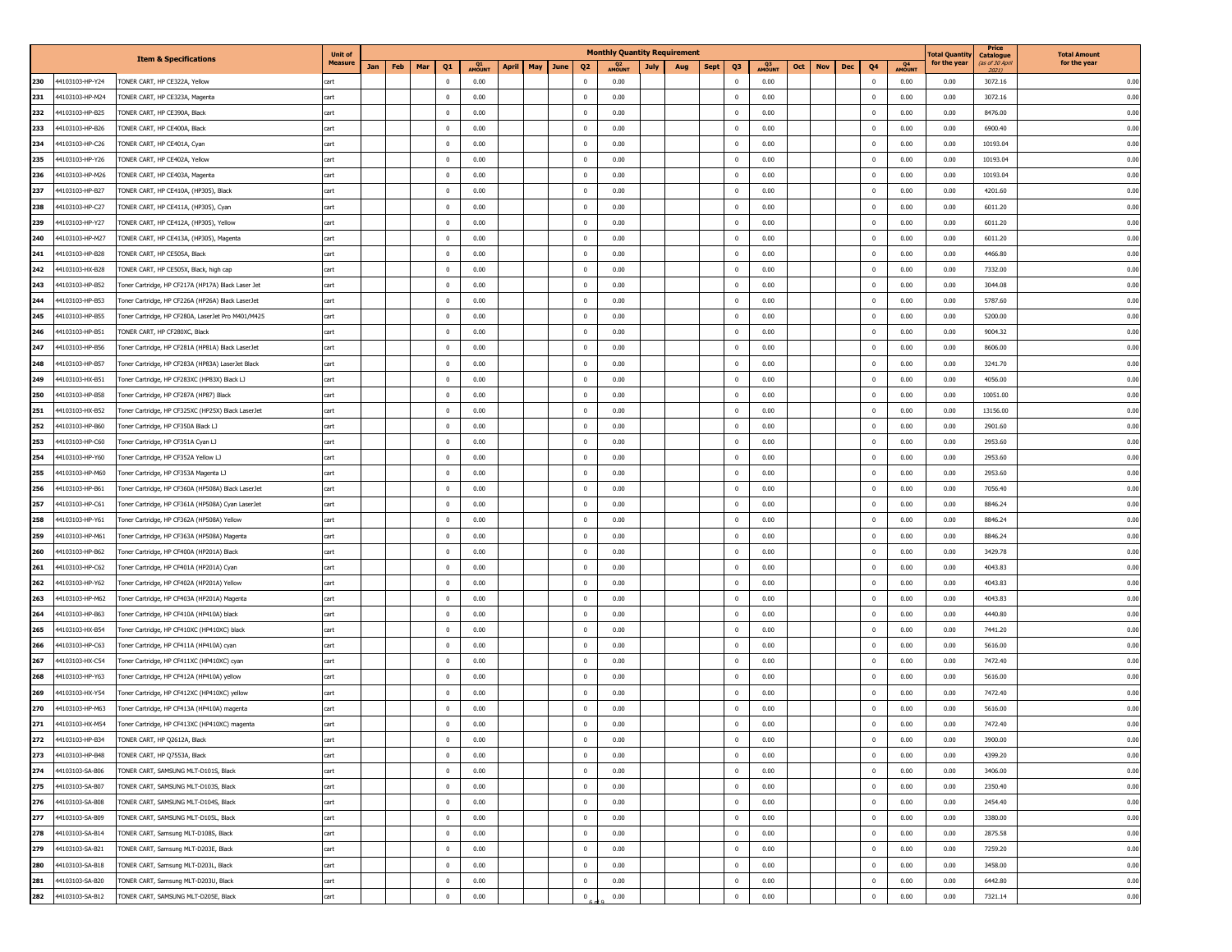|                        |                                                    | <b>Unit of</b> |     |     |     |                |              |              |             |                | <b>Monthly Quantity Requirement</b> |             |     |                               |      |     |            |     |             |              | <b>Fotal Quantil</b> | Price                                       | <b>Total Amount</b> |
|------------------------|----------------------------------------------------|----------------|-----|-----|-----|----------------|--------------|--------------|-------------|----------------|-------------------------------------|-------------|-----|-------------------------------|------|-----|------------|-----|-------------|--------------|----------------------|---------------------------------------------|---------------------|
|                        | <b>Item &amp; Specifications</b>                   | <b>Measure</b> | Jan | Feb | Mar | Q1             | Q1<br>AMOUNT | <b>April</b> | May<br>June | Q <sub>2</sub> | Q <sub>2</sub><br>AMOUNT            | <b>July</b> | Aug | Q <sub>3</sub><br><b>Sept</b> | Q3   | Oct | <b>Nov</b> | Dec | Q4          | Q4<br>AMOUNT | for the yea          | <b>Catalogue</b><br>(as of 30 Apri<br>2021) | for the year        |
| 230<br>44103103-HP-Y24 | TONER CART, HP CE322A, Yellow                      | cart           |     |     |     | $\mathbf 0$    | 0.00         |              |             | $\Omega$       | 0.00                                |             |     | $^{\circ}$                    | 0.00 |     |            |     | $\mathbf 0$ | 0.00         | 0.00                 | 3072.16                                     | 0.00                |
| 44103103-HP-M24<br>231 | TONER CART, HP CE323A, Magenta                     | cart           |     |     |     | $\mathbf 0$    | 0.00         |              |             | $\overline{0}$ | 0.00                                |             |     | $^{\circ}$                    | 0.00 |     |            |     | 0           | 0.00         | 0.00                 | 3072.16                                     | 0.00                |
| 232<br>44103103-HP-B25 | TONER CART, HP CE390A, Black                       | cart           |     |     |     | $\overline{0}$ | 0.00         |              |             | $\mathbf 0$    | 0.00                                |             |     | $\bf{0}$                      | 0.00 |     |            |     | 0           | 0.00         | 0.00                 | 8476.00                                     | 0.00                |
| 233<br>44103103-HP-B26 | TONER CART, HP CE400A, Black                       | cart           |     |     |     | $\overline{0}$ | 0.00         |              |             | $\Omega$       | 0.00                                |             |     | $\Omega$                      | 0.00 |     |            |     | 0           | 0.00         | 0.00                 | 6900.40                                     | 0.00                |
| 234<br>44103103-HP-C26 | TONER CART, HP CE401A, Cyan                        | cart           |     |     |     | $\overline{0}$ | 0.00         |              |             | $\overline{0}$ | 0.00                                |             |     | $\mathbf{0}$                  | 0.00 |     |            |     | $\mathbf 0$ | 0.00         | 0.00                 | 10193.04                                    | 0.00                |
| 235<br>44103103-HP-Y26 | TONER CART, HP CE402A, Yellow                      | cart           |     |     |     | $\overline{0}$ | 0.00         |              |             | $\mathbf 0$    | 0.00                                |             |     | $\bf{0}$                      | 0.00 |     |            |     | $\mathbf 0$ | 0.00         | 0.00                 | 10193.04                                    | 0.00                |
| 236                    |                                                    |                |     |     |     |                |              |              |             | $\Omega$       |                                     |             |     |                               |      |     |            |     |             |              |                      |                                             |                     |
| 44103103-HP-M26        | TONER CART, HP CE403A, Magenta                     | cart           |     |     |     | $\overline{0}$ | 0.00         |              |             |                | 0.00                                |             |     | $^{\circ}$                    | 0.00 |     |            |     | 0           | 0.00         | 0.00                 | 10193.04                                    | 0.00                |
| 237<br>44103103-HP-B27 | TONER CART, HP CE410A, (HP305), Black              | cart           |     |     |     | $^{\circ}$     | 0.00         |              |             | $\overline{0}$ | 0.00                                |             |     | $^{\circ}$                    | 0.00 |     |            |     | $\mathbf 0$ | 0.00         | 0.00                 | 4201.60                                     | 0.00                |
| 238<br>44103103-HP-C27 | TONER CART, HP CE411A, (HP305), Cyan               | cart           |     |     |     | $\mathbf 0$    | 0.00         |              |             | $\mathbf 0$    | 0.00                                |             |     | $^{\circ}$                    | 0.00 |     |            |     | $\mathbf 0$ | 0.00         | 0.00                 | 6011.20                                     | 0.00                |
| 239<br>44103103-HP-Y27 | TONER CART, HP CE412A, (HP305), Yellow             | cart           |     |     |     | $\overline{0}$ | 0.00         |              |             | $\overline{0}$ | 0.00                                |             |     | $\mathbf 0$                   | 0.00 |     |            |     | 0           | 0.00         | 0.00                 | 6011.20                                     | 0.00                |
| 240<br>44103103-HP-M27 | TONER CART, HP CE413A, (HP305), Magenta            | cart           |     |     |     | $\overline{0}$ | 0.00         |              |             | $\Omega$       | 0.00                                |             |     | $^{\circ}$                    | 0.00 |     |            |     | $^{\circ}$  | 0.00         | 0.00                 | 6011.20                                     | 0.00                |
| 241<br>44103103-HP-B28 | TONER CART, HP CE505A, Black                       | cart           |     |     |     | $\overline{0}$ | 0.00         |              |             | $\mathbf 0$    | 0.00                                |             |     | $\mathbf 0$                   | 0.00 |     |            |     | $\mathbf 0$ | 0.00         | 0.00                 | 4466.80                                     | 0.00                |
| 242<br>44103103-HX-B28 | TONER CART, HP CE505X, Black, high cap             | cart           |     |     |     | $\mathbf 0$    | 0.00         |              |             | $\mathbf 0$    | 0.00                                |             |     | $^{\circ}$                    | 0.00 |     |            |     | $\mathbf 0$ | 0.00         | 0.00                 | 7332.00                                     | 0.00                |
| 243<br>44103103-HP-B52 | Toner Cartridge, HP CF217A (HP17A) Black Laser Jet | cart           |     |     |     | $\overline{0}$ | 0.00         |              |             | $\overline{0}$ | 0.00                                |             |     | $\bf{0}$                      | 0.00 |     |            |     | 0           | 0.00         | 0.00                 | 3044.08                                     | 0.00                |
| 244<br>44103103-HP-B53 | Toner Cartridge, HP CF226A (HP26A) Black LaserJet  | cart           |     |     |     | $\mathbf 0$    | 0.00         |              |             | $\overline{0}$ | 0.00                                |             |     | $^{\circ}$                    | 0.00 |     |            |     | $\mathbf 0$ | 0.00         | 0.00                 | 5787.60                                     | 0.00                |
| 245<br>44103103-HP-B55 | Toner Cartridge, HP CF280A, LaserJet Pro M401/M425 | cart           |     |     |     | $\mathbf 0$    | 0.00         |              |             | $\mathbf 0$    | 0.00                                |             |     | $\bf{0}$                      | 0.00 |     |            |     | $\mathbf 0$ | 0.00         | 0.00                 | 5200.00                                     | 0.00                |
| 246<br>44103103-HP-B51 | TONER CART, HP CF280XC, Black                      | cart           |     |     |     | $\overline{0}$ | 0.00         |              |             | $\overline{0}$ | 0.00                                |             |     | $\bf{0}$                      | 0.00 |     |            |     | 0           | 0.00         | 0.00                 | 9004.32                                     | 0.00                |
| 247<br>44103103-HP-B56 | Toner Cartridge, HP CF281A (HP81A) Black LaserJet  | cart           |     |     |     | $\overline{0}$ | 0.00         |              |             | $\Omega$       | 0.00                                |             |     | $^{\circ}$                    | 0.00 |     |            |     | $^{\circ}$  | 0.00         | 0.00                 | 8606.00                                     | 0.00                |
| 248<br>44103103-HP-B57 | Toner Cartridge, HP CF283A (HP83A) LaserJet Black  | cart           |     |     |     | $\overline{0}$ | 0.00         |              |             | $\mathbf 0$    | 0.00                                |             |     | $^{\circ}$                    | 0.00 |     |            |     | $\mathbf 0$ | 0.00         | 0.00                 | 3241.70                                     | 0.00                |
| 44103103-HX-B51<br>249 | Toner Cartridge, HP CF283XC (HP83X) Black LJ       | cart           |     |     |     | $\mathbf 0$    | 0.00         |              |             | $\mathbf 0$    | 0.00                                |             |     | $^{\circ}$                    | 0.00 |     |            |     | $\mathbf 0$ | 0.00         | 0.00                 | 4056.00                                     | 0.00                |
| 250<br>44103103-HP-B58 | Toner Cartridge, HP CF287A (HP87) Black            | cart           |     |     |     | $\mathbf 0$    | 0.00         |              |             | $\mathbf{0}$   | 0.00                                |             |     | $\mathbf 0$                   | 0.00 |     |            |     | 0           | 0.00         | 0.00                 | 10051.00                                    | 0.00                |
| 251<br>44103103-HX-B52 | Toner Cartridge, HP CF325XC (HP25X) Black LaserJet | cart           |     |     |     | $\overline{0}$ | 0.00         |              |             | $^{\circ}$     | 0.00                                |             |     | $^{\circ}$                    | 0.00 |     |            |     | 0           | 0.00         | 0.00                 | 13156.00                                    | 0.00                |
| 252<br>44103103-HP-B60 | Toner Cartridge, HP CF350A Black LJ                | cart           |     |     |     | $\mathbf 0$    | 0.00         |              |             | $\mathbf{0}$   | 0.00                                |             |     | $^{\circ}$                    | 0.00 |     |            |     | $\mathbf 0$ | 0.00         | 0.00                 | 2901.60                                     | 0.00                |
| 253<br>44103103-HP-C60 | Toner Cartridge, HP CF351A Cyan LJ                 | cart           |     |     |     | $\overline{0}$ | 0.00         |              |             | $\mathbf{0}$   | 0.00                                |             |     | $\mathbf 0$                   | 0.00 |     |            |     | 0           | 0.00         | 0.00                 | 2953.60                                     | 0.00                |
| 254<br>44103103-HP-Y60 | Toner Cartridge, HP CF352A Yellow LJ               | cart           |     |     |     | $\overline{0}$ | 0.00         |              |             | $\overline{0}$ | 0.00                                |             |     | $^{\circ}$                    | 0.00 |     |            |     | $^{\circ}$  | 0.00         | 0.00                 | 2953.60                                     | 0.00                |
| 255<br>44103103-HP-M60 | Toner Cartridge, HP CF353A Magenta LJ              | cart           |     |     |     | $\overline{0}$ | 0.00         |              |             | $\mathbf{0}$   | 0.00                                |             |     | $^{\circ}$                    | 0.00 |     |            |     | $\mathbf 0$ | 0.00         | 0.00                 | 2953.60                                     | 0.00                |
| 44103103-HP-B61<br>256 | Toner Cartridge, HP CF360A (HP508A) Black LaserJet | cart           |     |     |     | $\mathbf 0$    | 0.00         |              |             | $\mathbf{0}$   | 0.00                                |             |     | $^{\circ}$                    | 0.00 |     |            |     | $\mathbf 0$ | 0.00         | 0.00                 | 7056.40                                     | 0.00                |
| 257<br>44103103-HP-C61 | Toner Cartridge, HP CF361A (HP508A) Cyan LaserJet  | cart           |     |     |     | $\overline{0}$ | 0.00         |              |             | $\mathbf 0$    | 0.00                                |             |     | $\bf{0}$                      | 0.00 |     |            |     | 0           | 0.00         | 0.00                 | 8846.24                                     | 0.00                |
| 258<br>44103103-HP-Y61 | Toner Cartridge, HP CF362A (HP508A) Yellow         | cart           |     |     |     | $\overline{0}$ | 0.00         |              |             | $\Omega$       | 0.00                                |             |     | $\Omega$                      | 0.00 |     |            |     | 0           | 0.00         | 0.00                 | 8846.24                                     | 0.00                |
| 259<br>44103103-HP-M61 | Toner Cartridge, HP CF363A (HP508A) Magenta        | cart           |     |     |     | $\overline{0}$ | 0.00         |              |             | $\mathbf{0}$   | 0.00                                |             |     | $^{\circ}$                    | 0.00 |     |            |     | $\mathbf 0$ | 0.00         | 0.00                 | 8846.24                                     | 0.00                |
| 260<br>44103103-HP-B62 | Toner Cartridge, HP CF400A (HP201A) Black          | cart           |     |     |     | $\mathbf 0$    | 0.00         |              |             | $\mathbf{0}$   | 0.00                                |             |     | $\mathbf{0}$                  | 0.00 |     |            |     | $\mathbf 0$ | 0.00         | 0.00                 | 3429.78                                     | 0.00                |
| 261<br>44103103-HP-C62 | Toner Cartridge, HP CF401A (HP201A) Cyan           | cart           |     |     |     | $\overline{0}$ | 0.00         |              |             | $^{\circ}$     | 0.00                                |             |     | $^{\circ}$                    | 0.00 |     |            |     | 0           | 0.00         | 0.00                 | 4043.83                                     | 0.00                |
| 262<br>44103103-HP-Y62 | Toner Cartridge, HP CF402A (HP201A) Yellow         | cart           |     |     |     | $^{\circ}$     | 0.00         |              |             | $\mathbf{0}$   | 0.00                                |             |     | $^{\circ}$                    | 0.00 |     |            |     | $\mathbf 0$ | 0.00         | 0.00                 | 4043.83                                     | 0.00                |
| 263<br>44103103-HP-M62 | Toner Cartridge, HP CF403A (HP201A) Magenta        | cart           |     |     |     | $\mathbf 0$    | 0.00         |              |             | $\mathbf 0$    | 0.00                                |             |     | $^{\circ}$                    | 0.00 |     |            |     | $\mathbf 0$ | 0.00         | 0.00                 | 4043.83                                     | 0.00                |
| 264<br>44103103-HP-B63 | Toner Cartridge, HP CF410A (HP410A) black          | cart           |     |     |     | $\overline{0}$ | 0.00         |              |             | $\mathbf{0}$   | 0.00                                |             |     | $\mathbf 0$                   | 0.00 |     |            |     | 0           | 0.00         | 0.00                 | 4440.80                                     | 0.00                |
| 265<br>44103103-HX-B54 | Toner Cartridge, HP CF410XC (HP410XC) black        | cart           |     |     |     | $\overline{0}$ | 0.00         |              |             | $^{\circ}$     | 0.00                                |             |     | $^{\circ}$                    | 0.00 |     |            |     | 0           | 0.00         | 0.00                 | 7441.20                                     | 0.00                |
| 266<br>44103103-HP-C63 | Toner Cartridge, HP CF411A (HP410A) cyan           | cart           |     |     |     | $\overline{0}$ | 0.00         |              |             | $\mathbf{0}$   | 0.00                                |             |     | $^{\circ}$                    | 0.00 |     |            |     | $\mathbf 0$ | 0.00         | 0.00                 | 5616.00                                     | 0.00                |
| 267<br>44103103-HX-C54 | Toner Cartridge, HP CF411XC (HP410XC) cyan         | cart           |     |     |     | $\mathbf 0$    | 0.00         |              |             | $\mathbf 0$    | 0.00                                |             |     | $^{\circ}$                    | 0.00 |     |            |     | $\mathbf 0$ | 0.00         | 0.00                 | 7472.40                                     | 0.00                |
| 268<br>44103103-HP-Y63 | Toner Cartridge, HP CF412A (HP410A) yellow         | cart           |     |     |     | $\overline{0}$ | 0.00         |              |             | $\mathbf{0}$   | 0.00                                |             |     | $^{\circ}$                    | 0.00 |     |            |     | 0           | 0.00         | 0.00                 | 5616.00                                     | 0.00                |
| 269<br>44103103-HX-Y54 |                                                    | cart           |     |     |     | $\Omega$       | 0.00         |              |             | $\Omega$       | 0.00                                |             |     | $\Omega$                      | 0.00 |     |            |     | $^{\circ}$  | 0.00         | 0.00                 |                                             | 0.00                |
| 270<br>44103103-HP-M63 | Toner Cartridge, HP CF412XC (HP410XC) yellow       | cart           |     |     |     | $\mathbf 0$    | 0.00         |              |             | $\mathbf{0}$   | 0.00                                |             |     | $\bf{0}$                      | 0.00 |     |            |     | 0           | 0.00         | 0.00                 | 7472.40<br>5616.00                          | 0.00                |
|                        | Toner Cartridge, HP CF413A (HP410A) magenta        |                |     |     |     |                |              |              |             | $\mathbf{0}$   |                                     |             |     |                               |      |     |            |     | $\mathbf 0$ |              |                      |                                             |                     |
| 271<br>44103103-HX-M54 | Toner Cartridge, HP CF413XC (HP410XC) magenta      | cart           |     |     |     | $\mathbf 0$    | 0.00         |              |             |                | 0.00                                |             |     | $\bf{0}$                      | 0.00 |     |            |     |             | 0.00         | 0.00                 | 7472.40                                     | 0.00                |
| 272<br>4103103-HP-B34  | TONER CART, HP Q2612A, Black                       |                |     |     |     |                | 0.00         |              |             | $^{\circ}$     | 0.00                                |             |     | $\Omega$                      | 0.00 |     |            |     | $\bf{0}$    | 0.00         | 0.00                 | 3900.00                                     | 0.00                |
| 273<br>44103103-HP-B48 | TONER CART, HP Q7553A, Black                       | cart           |     |     |     | $\mathbf 0$    | 0.00         |              |             | $\mathbf 0$    | 0.00                                |             |     | $\mathbf{0}$                  | 0.00 |     |            |     | $\bf{0}$    | 0.00         | 0.00                 | 4399.20                                     | 0.00                |
| 274<br>44103103-SA-B06 | TONER CART, SAMSUNG MLT-D101S, Black               | cart           |     |     |     | $\overline{0}$ | 0.00         |              |             | $\mathbf 0$    | 0.00                                |             |     | $^{\circ}$                    | 0.00 |     |            |     | $\mathbf 0$ | 0.00         | 0.00                 | 3406.00                                     | 0.00                |
| 275<br>44103103-SA-B07 | TONER CART, SAMSUNG MLT-D103S, Black               | cart           |     |     |     | $\overline{0}$ | 0.00         |              |             | $\mathbf 0$    | 0.00                                |             |     | $\bf{0}$                      | 0.00 |     |            |     | 0           | 0.00         | 0.00                 | 2350.40                                     | 0.00                |
| 276<br>44103103-SA-B08 | TONER CART, SAMSUNG MLT-D104S, Black               | cart           |     |     |     | $\overline{0}$ | 0.00         |              |             | $\overline{0}$ | 0.00                                |             |     | $\mathbf{0}$                  | 0.00 |     |            |     | $\bf{0}$    | 0.00         | 0.00                 | 2454.40                                     | 0.00                |
| 277<br>44103103-SA-B09 | TONER CART, SAMSUNG MLT-D105L, Black               | cart           |     |     |     | $\overline{0}$ | 0.00         |              |             | $\mathbf 0$    | 0.00                                |             |     | $^{\circ}$                    | 0.00 |     |            |     | $\bf{0}$    | 0.00         | 0.00                 | 3380.00                                     | 0.00                |
| 278<br>44103103-SA-B14 | TONER CART, Samsung MLT-D108S, Black               | cart           |     |     |     | $\overline{0}$ | 0.00         |              |             | $\mathbf 0$    | 0.00                                |             |     | $\bf{0}$                      | 0.00 |     |            |     | $\bf{0}$    | 0.00         | 0.00                 | 2875.58                                     | 0.00                |
| 279<br>44103103-SA-B21 | TONER CART, Samsung MLT-D203E, Black               | cart           |     |     |     | $\overline{0}$ | 0.00         |              |             | $\overline{0}$ | 0.00                                |             |     | $\mathbf{0}$                  | 0.00 |     |            |     | $\bf{0}$    | 0.00         | 0.00                 | 7259.20                                     | 0.00                |
| 280<br>44103103-SA-B18 | TONER CART, Samsung MLT-D203L, Black               | cart           |     |     |     | $\overline{0}$ | 0.00         |              |             | $\mathbf{0}$   | 0.00                                |             |     | $^{\circ}$                    | 0.00 |     |            |     | $^{\circ}$  | 0.00         | 0.00                 | 3458.00                                     | 0.00                |
| 281<br>44103103-SA-B20 | TONER CART, Samsung MLT-D203U, Black               | cart           |     |     |     | $\overline{0}$ | 0.00         |              |             | $\mathbf{0}$   | 0.00                                |             |     | $\bf{0}$                      | 0.00 |     |            |     | $\bf{0}$    | 0.00         | 0.00                 | 6442.80                                     | 0.00                |
| 282<br>44103103-SA-B12 | TONER CART, SAMSUNG MLT-D205E, Black               | cart           |     |     |     | $\mathbf 0$    | 0.00         |              |             | $\mathbf 0$    | 0.00                                |             |     | $\overline{0}$                | 0.00 |     |            |     | $\mathbf 0$ | 0.00         | 0.00                 | 7321.14                                     | 0.00                |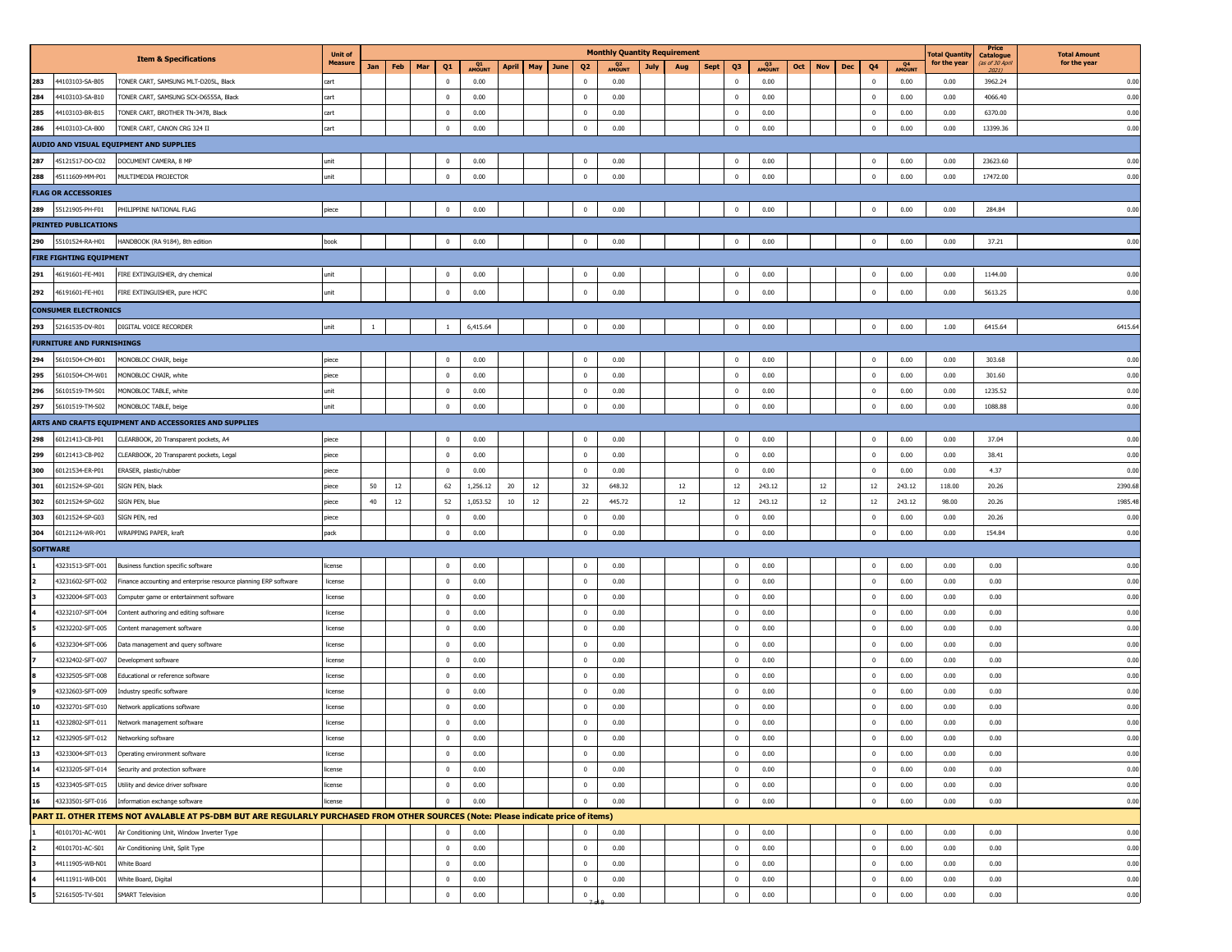|                         |                                  |                                                                                                                                   | <b>Unit of</b> |              |     |                       |              |                   |                | <b>Monthly Quantity Requirement</b> |      |     |      |                         |             |     |                   |                    |        | 'otal Quantity | Price                                        | <b>Total Amount</b> |
|-------------------------|----------------------------------|-----------------------------------------------------------------------------------------------------------------------------------|----------------|--------------|-----|-----------------------|--------------|-------------------|----------------|-------------------------------------|------|-----|------|-------------------------|-------------|-----|-------------------|--------------------|--------|----------------|----------------------------------------------|---------------------|
|                         |                                  | <b>Item &amp; Specifications</b>                                                                                                  | <b>Measure</b> | Jan          | Feb | Mar<br>Q <sub>1</sub> | Q1<br>AMOUN1 | April<br>May June | Q <sub>2</sub> | Q <sub>2</sub><br>AMOUNT            | July | Aug | Sept | Q3                      | Q3<br>AMOUN | Oct | Dec<br><b>Nov</b> | Q4<br>AMOUNT<br>Q4 |        | for the year   | <b>Catalogue</b><br>(as of 30 April<br>2021) | for the year        |
| 283                     | 44103103-SA-B05                  | TONER CART, SAMSUNG MLT-D205L, Black                                                                                              | cart           |              |     | $\mathbf 0$           | 0.00         |                   | $\mathbf 0$    | 0.00                                |      |     |      | $\overline{0}$          | 0.00        |     |                   | $\bf{0}$<br>0.00   |        | 0.00           | 3962.24                                      | 0.00                |
| 284                     | 44103103-SA-B10                  | TONER CART, SAMSUNG SCX-D6555A, Black                                                                                             | cart           |              |     | $\mathbf 0$           | 0.00         |                   | $\mathbf 0$    | 0.00                                |      |     |      | $\overline{\mathbf{0}}$ | 0.00        |     |                   | $\bf{0}$           | 0.00   | 0.00           | 4066.40                                      | 0.00                |
| 285                     | 44103103-BR-B15                  | TONER CART, BROTHER TN-3478, Black                                                                                                | cart           |              |     | $^{\circ}$            | 0.00         |                   | $\mathbf 0$    | 0.00                                |      |     |      | $\overline{0}$          | 0.00        |     |                   | $\bf{0}$<br>0.00   |        | 0.00           | 6370.00                                      | 0.00                |
| 286                     | 44103103-CA-B00                  | TONER CART, CANON CRG 324 II                                                                                                      | cart           |              |     | $\overline{0}$        | 0.00         |                   | $\mathbf 0$    | 0.00                                |      |     |      | $\overline{0}$          | 0.00        |     |                   | $\bf{0}$           | 0.00   | 0.00           | 13399.36                                     | 0.00                |
|                         |                                  | AUDIO AND VISUAL EQUIPMENT AND SUPPLIES                                                                                           |                |              |     |                       |              |                   |                |                                     |      |     |      |                         |             |     |                   |                    |        |                |                                              |                     |
| 287                     | 45121517-DO-C02                  | DOCUMENT CAMERA, 8 MP                                                                                                             | unit           |              |     | $\overline{0}$        | 0.00         |                   | $\mathbf 0$    | 0.00                                |      |     |      | $\overline{0}$          | 0.00        |     |                   | $\bf{0}$<br>0.00   |        | 0.00           | 23623.60                                     | 0.00                |
| 288                     | 45111609-MM-P01                  | MULTIMEDIA PROJECTOR                                                                                                              | unit           |              |     | $\overline{0}$        | 0.00         |                   | $\mathbf 0$    | 0.00                                |      |     |      | $\overline{0}$          | 0.00        |     |                   | $\bf{0}$           | 0.00   | 0.00           | 17472.00                                     | 0.00                |
|                         | <b>FLAG OR ACCESSORIES</b>       |                                                                                                                                   |                |              |     |                       |              |                   |                |                                     |      |     |      |                         |             |     |                   |                    |        |                |                                              |                     |
| 289                     | 55121905-PH-F01                  | PHILIPPINE NATIONAL FLAG                                                                                                          | piece          |              |     | $\mathbf{0}$          | 0.00         |                   | $\mathbf 0$    | 0.00                                |      |     |      | $\overline{0}$          | 0.00        |     |                   | $\pmb{0}$<br>0.00  |        | 0.00           | 284.84                                       | 0.00                |
|                         | <b>PRINTED PUBLICATIONS</b>      |                                                                                                                                   |                |              |     |                       |              |                   |                |                                     |      |     |      |                         |             |     |                   |                    |        |                |                                              |                     |
| 290                     | 55101524-RA-H01                  | HANDBOOK (RA 9184), 8th edition                                                                                                   | book           |              |     | $\overline{0}$        | 0.00         |                   | $\mathbf 0$    | 0.00                                |      |     |      | $\overline{0}$          | 0.00        |     |                   | $\pmb{0}$          | 0.00   | 0.00           | 37.21                                        | 0.00                |
|                         | <b>FIRE FIGHTING EQUIPMENT</b>   |                                                                                                                                   |                |              |     |                       |              |                   |                |                                     |      |     |      |                         |             |     |                   |                    |        |                |                                              |                     |
| 291                     |                                  |                                                                                                                                   |                |              |     |                       |              |                   |                |                                     |      |     |      | $\overline{0}$          |             |     |                   |                    |        |                |                                              |                     |
|                         | 46191601-FE-M01                  | FIRE EXTINGUISHER, dry chemical                                                                                                   | unit           |              |     | $\overline{0}$        | 0.00         |                   | $\mathbf 0$    | 0.00                                |      |     |      |                         | 0.00        |     |                   | $\mathbf 0$        | 0.00   | 0.00           | 1144.00                                      | 0.00                |
| 292                     | 46191601-FE-H01                  | FIRE EXTINGUISHER, pure HCFC                                                                                                      | unit           |              |     | $\mathbf 0$           | 0.00         |                   | $\mathbf 0$    | 0.00                                |      |     |      | $\overline{0}$          | 0.00        |     |                   | $\mathbf 0$        | 0.00   | 0.00           | 5613.25                                      | 0.00                |
|                         | <b>CONSUMER ELECTRONICS</b>      |                                                                                                                                   |                |              |     |                       |              |                   |                |                                     |      |     |      |                         |             |     |                   |                    |        |                |                                              |                     |
|                         | 293 52161535-DV-R01              | DIGITAL VOICE RECORDER                                                                                                            | unit           | $\mathbf{1}$ |     | $\mathbf{1}$          | 6,415.64     |                   | $\overline{0}$ | 0.00                                |      |     |      | $\mathbf{0}$            | 0.00        |     |                   | $\bf{0}$<br>0.00   |        | 1.00           | 6415.64                                      | 6415.64             |
|                         | <b>FURNITURE AND FURNISHINGS</b> |                                                                                                                                   |                |              |     |                       |              |                   |                |                                     |      |     |      |                         |             |     |                   |                    |        |                |                                              |                     |
| 294                     | 56101504-CM-B01                  | MONOBLOC CHAIR, beige                                                                                                             | piece          |              |     | $\overline{0}$        | 0.00         |                   | $\mathbf{0}$   | 0.00                                |      |     |      | $\overline{0}$          | 0.00        |     |                   | $\bf{0}$<br>0.00   |        | 0.00           | 303.68                                       | 0.00                |
| 295                     | 56101504-CM-W01                  | MONOBLOC CHAIR, white                                                                                                             | piece          |              |     | $\mathbf 0$           | 0.00         |                   | $\mathbf 0$    | 0.00                                |      |     |      | $\overline{\mathbf{0}}$ | 0.00        |     |                   | $\pmb{0}$          | 0.00   | 0.00           | 301.60                                       | 0.00                |
| 296                     | 56101519-TM-S01                  | MONOBLOC TABLE, white                                                                                                             | unit           |              |     | $\bf{0}$              | 0.00         |                   | $\mathbf 0$    | 0.00                                |      |     |      | $\overline{0}$          | 0.00        |     |                   | $\bf{0}$           | 0.00   | 0.00           | 1235.52                                      | 0.00                |
| 297                     | 56101519-TM-S02                  | MONOBLOC TABLE, beige                                                                                                             | unit           |              |     | $^{\circ}$            | 0.00         |                   | $^{\circ}$     | 0.00                                |      |     |      | $\overline{0}$          | 0.00        |     |                   | $\bf{0}$           | 0.00   | 0.00           | 1088.88                                      | 0.00                |
|                         |                                  | ARTS AND CRAFTS EQUIPMENT AND ACCESSORIES AND SUPPLIES                                                                            |                |              |     |                       |              |                   |                |                                     |      |     |      |                         |             |     |                   |                    |        |                |                                              |                     |
| 298                     | 60121413-CB-P01                  | CLEARBOOK, 20 Transparent pockets, A4                                                                                             | piece          |              |     | $\bf{0}$              | 0.00         |                   | $\bf{0}$       | 0.00                                |      |     |      | $\overline{0}$          | 0.00        |     |                   | 0.00<br>$\bf{0}$   |        | 0.00           | 37.04                                        | 0.00                |
| 299                     | 60121413-CB-P02                  | CLEARBOOK, 20 Transparent pockets, Legal                                                                                          | piece          |              |     | $\overline{0}$        | 0.00         |                   | $\mathbf 0$    | 0.00                                |      |     |      | $\overline{0}$          | 0.00        |     |                   | $\bf{0}$<br>0.00   |        | 0.00           | 38.41                                        | 0.00                |
| 300                     | 60121534-ER-P01                  | ERASER, plastic/rubber                                                                                                            | piece          |              |     | $\overline{0}$        | 0.00         |                   | $\mathbf 0$    | 0.00                                |      |     |      | $\overline{0}$          | 0.00        |     |                   | $\bf{0}$           | 0.00   | 0.00           | 4.37                                         | 0.00                |
| 301                     | 60121524-SP-G01                  | SIGN PEN, black                                                                                                                   | piece          | 50           | 12  | 62                    | 1,256.12     | 12<br>20          | 32             | 648.32                              |      | 12  |      | 12                      | 243.12      |     | 12                | 12                 | 243.12 | 118.00         | 20.26                                        | 2390.68             |
| 302                     | 60121524-SP-G02                  | SIGN PEN, blue                                                                                                                    | piece          | 40           | 12  | 52                    | 1,053.52     | 12<br>10          | 22             | 445.72                              |      | 12  |      | 12                      | 243.12      |     | 12                | 12                 | 243.12 | 98.00          | 20.26                                        | 1985.48             |
| 303                     | 60121524-SP-G03                  | SIGN PEN, red                                                                                                                     | piece          |              |     | $\bf{0}$              | 0.00         |                   | $\mathbf 0$    | 0.00                                |      |     |      | $\overline{0}$          | 0.00        |     |                   | $\bf{0}$           | 0.00   | 0.00           | 20.26                                        | 0.00                |
| 304                     | 60121124-WR-P01                  | WRAPPING PAPER, kraft                                                                                                             | pack           |              |     | $\overline{0}$        | 0.00         |                   | $\overline{0}$ | 0.00                                |      |     |      | $\overline{0}$          | 0.00        |     |                   | $\bf{0}$           | 0.00   | 0.00           | 154.84                                       | 0.00                |
| <b>SOFTWARE</b>         |                                  |                                                                                                                                   |                |              |     |                       |              |                   |                |                                     |      |     |      |                         |             |     |                   |                    |        |                |                                              |                     |
|                         | 43231513-SFT-001                 | Business function specific software                                                                                               | license        |              |     | $\overline{0}$        | 0.00         |                   | $\bf{0}$       | 0.00                                |      |     |      | $\overline{0}$          | 0.00        |     |                   | $\bf{0}$<br>0.00   |        | 0.00           | 0.00                                         | 0.00                |
|                         | 43231602-SFT-002                 | inance accounting and enterprise resource planning ERP software                                                                   | license        |              |     | $\overline{0}$        | 0.00         |                   | $^{\circ}$     | 0.00                                |      |     |      | $\overline{0}$          | 0.00        |     |                   | $\bf{0}$           | 0.00   | 0.00           | 0.00                                         | 0.00                |
|                         | 43232004-SFT-003                 | Computer game or entertainment software                                                                                           | license        |              |     | $\mathbf{0}$          | 0.00         |                   | $\mathbf 0$    | 0.00                                |      |     |      | $\overline{0}$          | 0.00        |     |                   | $\bf{0}$           | 0.00   | 0.00           | 0.00                                         | 0.00                |
|                         | 43232107-SFT-004                 |                                                                                                                                   |                |              |     | $\overline{0}$        | 0.00         |                   | $\mathbf 0$    | 0.00                                |      |     |      | $\overline{\mathbf{0}}$ | 0.00        |     |                   | $\bf{0}$           |        | 0.00           | 0.00                                         | 0.00                |
|                         |                                  | Content authoring and editing software                                                                                            | license        |              |     |                       |              |                   |                |                                     |      |     |      |                         |             |     |                   |                    | 0.00   |                |                                              |                     |
|                         | 43232202-SFT-005                 | Content management software                                                                                                       | license        |              |     | $\mathbf 0$           | 0.00         |                   | $\mathbf 0$    | 0.00                                |      |     |      | $\overline{\mathbf{0}}$ | 0.00        |     |                   | $\bf{0}$           | 0.00   | 0.00           | 0.00                                         | 0.00                |
|                         | 43232304-SFT-006                 | Data management and query software                                                                                                | license        |              |     | $\overline{0}$        | 0.00         |                   | $\mathbf 0$    | 0.00                                |      |     |      | $\overline{0}$          | 0.00        |     |                   | $\bf{0}$           | 0.00   | 0.00           | 0.00                                         | 0.00                |
|                         | 43232402-SFT-007                 | Development software                                                                                                              | license        |              |     | $\overline{0}$        | 0.00         |                   | $\mathbf 0$    | 0.00                                |      |     |      | $\overline{0}$          | 0.00        |     |                   | $\bf{0}$<br>0.00   |        | 0.00           | 0.00                                         | 0.00                |
|                         | 43232505-SFT-008                 | Educational or reference software                                                                                                 | license        |              |     | $\mathbf 0$           | 0.00         |                   | $\mathbf 0$    | 0.00                                |      |     |      | $\overline{\mathbf{0}}$ | 0.00        |     |                   | $\bf{0}$           | 0.00   | 0.00           | 0.00                                         | 0.00                |
|                         | 43232603-SFT-009                 | Industry specific software                                                                                                        | license        |              |     | $\bf{0}$              | 0.00         |                   | $\mathbf 0$    | 0.00                                |      |     |      | $\overline{0}$          | 0.00        |     |                   | $\bf{0}$           | 0.00   | 0.00           | 0.00                                         | 0.00                |
| 10                      | 43232701-SFT-010                 | Network applications software                                                                                                     | license        |              |     | $\mathbf{0}$          | 0.00         |                   | $\mathbf 0$    | 0.00                                |      |     |      | $\overline{0}$          | 0.00        |     |                   | $\bf{0}$           | 0.00   | 0.00           | 0.00                                         | 0.00                |
| 11                      | 43232802-SFT-011                 | Network management software                                                                                                       | license        |              |     | $\mathbf 0$           | 0.00         |                   | $\mathbf 0$    | 0.00                                |      |     |      | $\overline{0}$          | 0.00        |     |                   | $\mathbf 0$        | 0.00   | 0.00           | 0.00                                         | 0.00                |
| ${\bf 12}$              | 43232905-SFT-012                 | Networking software                                                                                                               | license        |              |     | 0                     | 0.00         |                   | 0              | 0.00                                |      |     |      | $\pmb{0}$               | 0.00        |     |                   | 0                  | 0.00   | 0.00           | 0.00                                         | 0.00                |
| 13                      | 43233004-SFT-013                 | Operating environment software                                                                                                    | license        |              |     | $\mathbf{0}$          | 0.00         |                   | $\overline{0}$ | 0.00                                |      |     |      | $\overline{0}$          | 0.00        |     |                   | $\pmb{0}$<br>0.00  |        | 0.00           | 0.00                                         | 0.00                |
| 14                      | 43233205-SFT-014                 | Security and protection software                                                                                                  | license        |              |     | $\mathbf{0}$          | 0.00         |                   | $\mathbf 0$    | 0.00                                |      |     |      | $\overline{0}$          | 0.00        |     |                   | $\bf{0}$           | 0.00   | 0.00           | 0.00                                         | 0.00                |
| 15                      | 43233405-SFT-015                 | Utility and device driver software                                                                                                | license        |              |     | $\overline{0}$        | 0.00         |                   | $\mathbf 0$    | 0.00                                |      |     |      | $\overline{0}$          | 0.00        |     |                   | $\bf{0}$           | 0.00   | 0.00           | 0.00                                         | 0.00                |
| 16                      | 43233501-SFT-016                 | Information exchange software                                                                                                     | license        |              |     | $\overline{0}$        | 0.00         |                   | $\mathbf 0$    | 0.00                                |      |     |      | $\overline{0}$          | 0.00        |     |                   | $\mathbf 0$        | 0.00   | 0.00           | 0.00                                         | 0.00                |
|                         |                                  | PART II. OTHER ITEMS NOT AVALABLE AT PS-DBM BUT ARE REGULARLY PURCHASED FROM OTHER SOURCES (Note: Please indicate price of items) |                |              |     |                       |              |                   |                |                                     |      |     |      |                         |             |     |                   |                    |        |                |                                              |                     |
|                         | 40101701-AC-W01                  | Air Conditioning Unit, Window Inverter Type                                                                                       |                |              |     | $\overline{0}$        | 0.00         |                   | $\mathbf 0$    | 0.00                                |      |     |      | $\overline{0}$          | 0.00        |     |                   | $\pmb{0}$          | 0.00   | 0.00           | 0.00                                         | 0.00                |
| $\overline{\mathbf{z}}$ | 40101701-AC-S01                  | Air Conditioning Unit, Split Type                                                                                                 |                |              |     | $\overline{0}$        | 0.00         |                   | $\mathbf 0$    | 0.00                                |      |     |      | $\overline{0}$          | 0.00        |     |                   | $\bf{0}$           | 0.00   | 0.00           | 0.00                                         | 0.00                |
|                         | 44111905-WB-N01                  | White Board                                                                                                                       |                |              |     | $\mathbf{0}$          | 0.00         |                   | $\mathbf 0$    | 0.00                                |      |     |      | $\overline{0}$          | 0.00        |     |                   | $\bf{0}$           | 0.00   | 0.00           | 0.00                                         | 0.00                |
|                         | 44111911-WB-D01                  | White Board, Digital                                                                                                              |                |              |     | $\mathbf{0}$          | 0.00         |                   | $\mathbf 0$    | 0.00                                |      |     |      | $\overline{0}$          | 0.00        |     |                   | $\bf{0}$<br>0.00   |        | 0.00           | 0.00                                         | 0.00                |
| 5                       | 52161505-TV-S01                  | <b>SMART Television</b>                                                                                                           |                |              |     | $\mathbf{0}$          | 0.00         |                   | $\mathbf 0$    | 0.00                                |      |     |      | $\overline{0}$          | 0.00        |     |                   | $\bf{0}$           | 0.00   | 0.00           | 0.00                                         | 0.00                |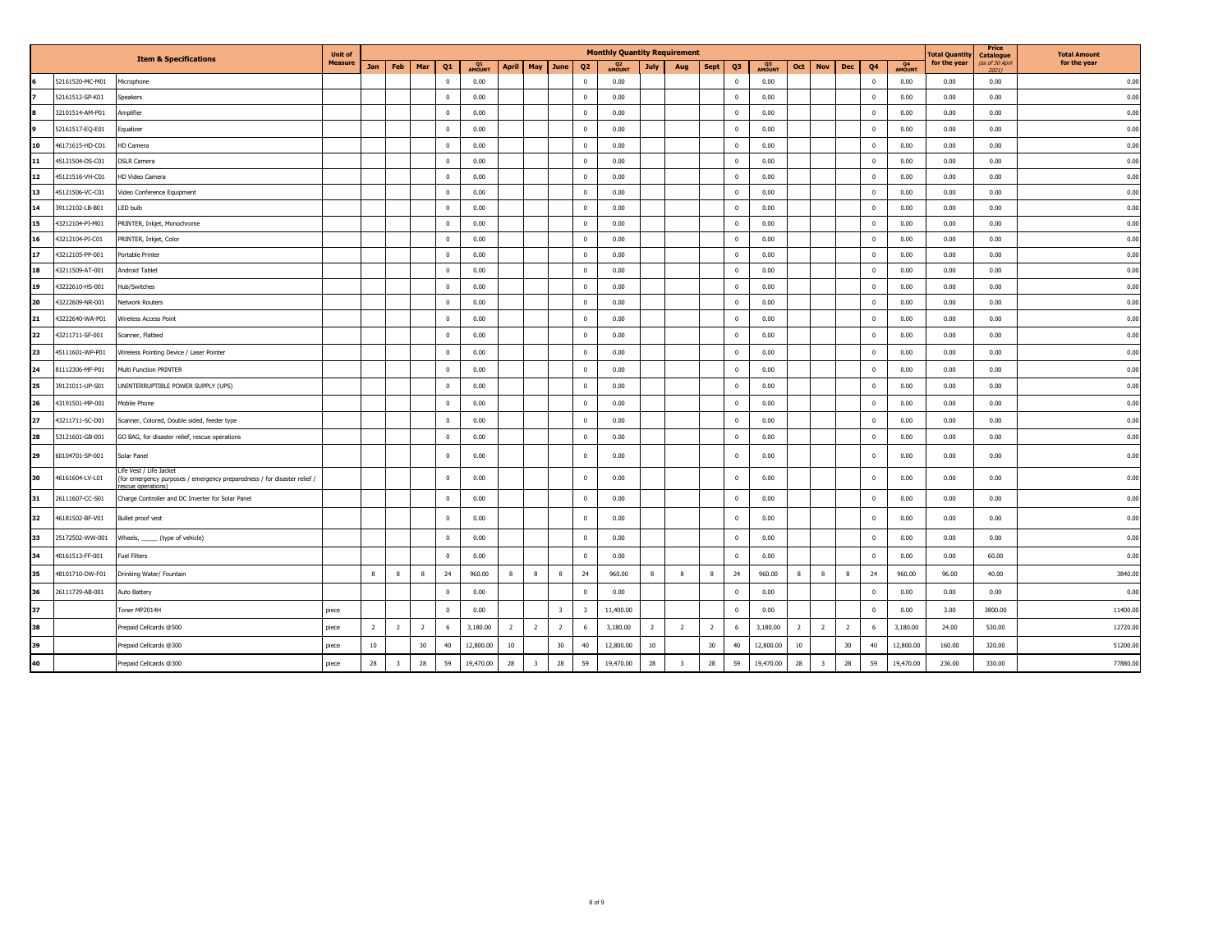|    |                 |                                                                                                                          | <b>Unit of</b> |                |                         |                       |              |                |                         |                         |                         | <b>Monthly Quantity Requirement</b> |                |                         |                |                         |                     |                  |                         |                |                         |              | otal Quantity | Price<br>Catalogue      | <b>Total Amount</b> |
|----|-----------------|--------------------------------------------------------------------------------------------------------------------------|----------------|----------------|-------------------------|-----------------------|--------------|----------------|-------------------------|-------------------------|-------------------------|-------------------------------------|----------------|-------------------------|----------------|-------------------------|---------------------|------------------|-------------------------|----------------|-------------------------|--------------|---------------|-------------------------|---------------------|
|    |                 | <b>Item &amp; Specifications</b>                                                                                         | <b>Measure</b> | Jan            | Feb                     | Mar<br>Q <sub>1</sub> | Q1<br>AMOUNT | <b>April</b>   | May                     | June                    | Q <sub>2</sub>          | Q <sub>2</sub><br><b>AMOUNT</b>     | July           | Aug                     | <b>Sept</b>    | Q <sub>3</sub>          | Q3<br><b>AMOUNT</b> | Oct              | <b>Nov</b>              | Dec            | Q <sub>4</sub>          | Q4<br>AMOUNT | for the year  | (as of 30 April<br>2021 | for the year        |
|    | 52161520-MC-M01 | Microphone                                                                                                               |                |                |                         | $\overline{0}$        | 0.00         |                |                         |                         | $\mathbf{0}$            | 0.00                                |                |                         |                | $\overline{0}$          | 0.00                |                  |                         |                | $\overline{0}$          | 0.00         | 0.00          | 0.00                    | 0.00                |
|    | 52161512-SP-K01 | Speakers                                                                                                                 |                |                |                         | $\mathbf{0}$          | 0.00         |                |                         |                         | $\mathbf 0$             | 0.00                                |                |                         |                | $\overline{\mathbf{0}}$ | 0.00                |                  |                         |                | $\overline{0}$          | 0.00         | 0.00          | 0.00                    | 0.00                |
|    | 32101514-AM-P01 | Amplifier                                                                                                                |                |                |                         | $\overline{0}$        | 0.00         |                |                         |                         | $\mathbf{0}$            | 0.00                                |                |                         |                | $\Omega$                | 0.00                |                  |                         |                | $\overline{0}$          | 0.00         | 0.00          | 0.00                    | 0.00                |
|    | 52161517-EQ-E01 | Equalizer                                                                                                                |                |                |                         | $\mathbf{0}$          | 0.00         |                |                         |                         | $\mathbf 0$             | 0.00                                |                |                         |                | $\overline{0}$          | 0.00                |                  |                         |                | $\overline{0}$          | 0.00         | 0.00          | 0.00                    | 0.00                |
| 10 | 46171615-HD-C01 | HD Camera                                                                                                                |                |                |                         | $\mathbf{0}$          | 0.00         |                |                         |                         | $\mathbf 0$             | 0.00                                |                |                         |                | $\overline{\mathbf{0}}$ | 0.00                |                  |                         |                | $\overline{0}$          | 0.00         | 0.00          | 0.00                    | 0.00                |
| 11 | 45121504-DS-C01 | <b>DSLR Camera</b>                                                                                                       |                |                |                         | $\mathbf{0}$          | 0.00         |                |                         |                         | $\mathbf{0}$            | 0.00                                |                |                         |                | $\overline{0}$          | 0.00                |                  |                         |                | $\overline{\mathbf{0}}$ | 0.00         | 0.00          | 0.00                    | 0.00                |
| 12 | 45121516-VH-C01 | HD Video Camera                                                                                                          |                |                |                         | $\mathbf{0}$          | 0.00         |                |                         |                         | $\mathbf 0$             | 0.00                                |                |                         |                | $\overline{\mathbf{0}}$ | 0.00                |                  |                         |                | $\overline{0}$          | 0.00         | 0.00          | 0.00                    | 0.00                |
| 13 | 45121506-VC-C01 | Video Conference Equipment                                                                                               |                |                |                         | $\mathbf{0}$          | 0.00         |                |                         |                         | $\mathbf 0$             | 0.00                                |                |                         |                | $\overline{0}$          | 0.00                |                  |                         |                | $\overline{0}$          | 0.00         | 0.00          | 0.00                    | 0.00                |
| 14 | 39112102-LB-B01 | LED bulb                                                                                                                 |                |                |                         | $\overline{0}$        | 0.00         |                |                         |                         | $\mathbf 0$             | 0.00                                |                |                         |                | $\overline{\mathbf{0}}$ | 0.00                |                  |                         |                | $\overline{0}$          | 0.00         | 0.00          | 0.00                    | 0.00                |
| 15 | 43212104-PI-M01 | PRINTER, Inkjet, Monochrome                                                                                              |                |                |                         | $\mathbf{0}$          | 0.00         |                |                         |                         | $\mathbf 0$             | 0.00                                |                |                         |                | $\overline{\mathbf{0}}$ | 0.00                |                  |                         |                | $\overline{0}$          | 0.00         | 0.00          | 0.00                    | 0.00                |
| 16 | 43212104-PI-C01 | PRINTER, Inkjet, Color                                                                                                   |                |                |                         | $\overline{0}$        | 0.00         |                |                         |                         | $\mathbf 0$             | 0.00                                |                |                         |                | $\overline{0}$          | 0.00                |                  |                         |                | $\overline{0}$          | 0.00         | 0.00          | 0.00                    | 0.00                |
| 17 | 43212105-PP-001 | Portable Printer                                                                                                         |                |                |                         | $\mathbf{0}$          | 0.00         |                |                         |                         | $\mathbf 0$             | 0.00                                |                |                         |                | $\overline{0}$          | 0.00                |                  |                         |                | $\overline{0}$          | 0.00         | 0.00          | 0.00                    | 0.00                |
| 18 | 43211509-AT-001 | Android Tablet                                                                                                           |                |                |                         | $\overline{0}$        | 0.00         |                |                         |                         | $\mathbf 0$             | 0.00                                |                |                         |                | $\overline{0}$          | 0.00                |                  |                         |                | $\overline{\mathbf{0}}$ | 0.00         | 0.00          | 0.00                    | 0.00                |
| 19 | 43222610-HS-001 | Hub/Switches                                                                                                             |                |                |                         | $\mathbf{0}$          | 0.00         |                |                         |                         | $\mathbf 0$             | 0.00                                |                |                         |                | $\overline{\mathbf{0}}$ | 0.00                |                  |                         |                | $\overline{0}$          | 0.00         | 0.00          | 0.00                    | 0.00                |
| 20 | 43222609-NR-001 | <b>Network Routers</b>                                                                                                   |                |                |                         | $\overline{0}$        | 0.00         |                |                         |                         | $\mathbf 0$             | 0.00                                |                |                         |                | $\overline{0}$          | 0.00                |                  |                         |                | $\overline{\mathbf{0}}$ | 0.00         | 0.00          | 0.00                    | 0.00                |
| 21 | 43222640-WA-P01 | Wireless Access Point                                                                                                    |                |                |                         | $\mathbf{0}$          | 0.00         |                |                         |                         | $\mathbf 0$             | 0.00                                |                |                         |                | $\Omega$                | 0.00                |                  |                         |                | $\overline{0}$          | 0.00         | 0.00          | 0.00                    | 0.00                |
| 22 | 43211711-SF-001 | Scanner, Flatbed                                                                                                         |                |                |                         | $\mathbf{0}$          | 0.00         |                |                         |                         | $\mathbf 0$             | 0.00                                |                |                         |                | $\Omega$                | 0.00                |                  |                         |                | $\overline{0}$          | 0.00         | 0.00          | 0.00                    | 0.00                |
| 23 | 45111601-WP-P01 | Wireless Pointing Device / Laser Pointer                                                                                 |                |                |                         | $\mathbf{0}$          | 0.00         |                |                         |                         | $\mathbf 0$             | 0.00                                |                |                         |                | $\overline{\mathbf{0}}$ | 0.00                |                  |                         |                | $\overline{0}$          | 0.00         | 0.00          | 0.00                    | 0.00                |
| 24 | 81112306-MF-P01 | Multi Function PRINTER                                                                                                   |                |                |                         | $\mathbf{0}$          | 0.00         |                |                         |                         | $^{\circ}$              | 0.00                                |                |                         |                | $\overline{0}$          | 0.00                |                  |                         |                | $\overline{0}$          | 0.00         | 0.00          | 0.00                    | 0.00                |
| 25 | 39121011-UP-S01 | UNINTERRUPTIBLE POWER SUPPLY (UPS)                                                                                       |                |                |                         | $\mathbf{0}$          | 0.00         |                |                         |                         | $\mathbf 0$             | 0.00                                |                |                         |                | $\overline{\mathbf{0}}$ | 0.00                |                  |                         |                | $\overline{\mathbf{0}}$ | 0.00         | 0.00          | 0.00                    | 0.00                |
| 26 | 43191501-MP-001 | Mobile Phone                                                                                                             |                |                |                         | $\overline{0}$        | 0.00         |                |                         |                         | $\mathbf 0$             | 0.00                                |                |                         |                | $\overline{\mathbf{0}}$ | 0.00                |                  |                         |                | $\overline{\mathbf{0}}$ | 0.00         | 0.00          | 0.00                    | 0.00                |
| 27 | 43211711-SC-D01 | Scanner, Colored, Double sided, feeder type                                                                              |                |                |                         | $\overline{0}$        | 0.00         |                |                         |                         | $\mathbf 0$             | 0.00                                |                |                         |                | $\overline{\mathbf{0}}$ | 0.00                |                  |                         |                | $\overline{0}$          | 0.00         | 0.00          | 0.00                    | 0.00                |
| 28 | 53121601-GB-001 | GO BAG, for disaster relief, rescue operations                                                                           |                |                |                         | $\mathbf{0}$          | 0.00         |                |                         |                         | $\mathbf 0$             | 0.00                                |                |                         |                | $\overline{\mathbf{0}}$ | 0.00                |                  |                         |                | $\overline{\mathbf{0}}$ | 0.00         | 0.00          | 0.00                    | 0.00                |
| 29 | 60104701-SP-001 | Solar Panel                                                                                                              |                |                |                         | $\overline{0}$        | 0.00         |                |                         |                         | $\mathbf 0$             | 0.00                                |                |                         |                | $\mathbf{0}$            | 0.00                |                  |                         |                | $\overline{0}$          | 0.00         | 0.00          | 0.00                    | 0.00                |
| 30 | 46161604-LV-L01 | Life Vest / Life Jacket<br>(for emergency purposes / emergency preparedness / for disaster relief /<br>escue operations) |                |                |                         | $\mathbf{0}$          | 0.00         |                |                         |                         | $\bf{0}$                | 0.00                                |                |                         |                | $\mathbf{0}$            | 0.00                |                  |                         |                | $\overline{0}$          | 0.00         | 0.00          | 0.00                    | 0.00                |
| 31 | 26111607-CC-S01 | Charge Controller and DC Inverter for Solar Panel                                                                        |                |                |                         | $\mathbf{0}$          | 0.00         |                |                         |                         | $\mathbf 0$             | 0.00                                |                |                         |                | $\overline{0}$          | 0.00                |                  |                         |                | $\overline{0}$          | 0.00         | 0.00          | 0.00                    | 0.00                |
| 32 | 46181502-BF-V01 | Bullet proof vest                                                                                                        |                |                |                         | $\overline{0}$        | 0.00         |                |                         |                         | $\mathbf 0$             | 0.00                                |                |                         |                | $\overline{\mathbf{0}}$ | 0.00                |                  |                         |                | $\overline{0}$          | 0.00         | 0.00          | 0.00                    | 0.00                |
| 33 | 25172502-WW-001 | Wheels, ______ (type of vehicle)                                                                                         |                |                |                         | $\mathbf 0$           | 0.00         |                |                         |                         | $\mathbf 0$             | 0.00                                |                |                         |                | $\Omega$                | 0.00                |                  |                         |                | $\overline{0}$          | 0.00         | 0.00          | 0.00                    | 0.00                |
| 34 | 40161513-FF-001 | <b>Fuel Filters</b>                                                                                                      |                |                |                         | $\mathbf{0}$          | 0.00         |                |                         |                         | $\mathbf 0$             | 0.00                                |                |                         |                | $\overline{\mathbf{0}}$ | 0.00                |                  |                         |                | $\overline{\mathbf{0}}$ | 0.00         | 0.00          | 60.00                   | 0.00                |
| 35 | 48101710-DW-F01 | Drinking Water/ Fountain                                                                                                 |                | 8              | 8                       | 24<br>8               | 960.00       | 8              | 8                       | 8                       | 24                      | 960.00                              | 8              | 8                       | 8              | 24                      | 960.00              |                  | 8                       | 8              | 24                      | 960.00       | 96.00         | 40.00                   | 3840.00             |
| 36 | 26111729-AB-001 | Auto Battery                                                                                                             |                |                |                         | $\mathbf{0}$          | 0.00         |                |                         |                         | $\mathbf 0$             | 0.00                                |                |                         |                | $\overline{0}$          | 0.00                |                  |                         |                | $\overline{0}$          | 0.00         | 0.00          | 0.00                    | 0.00                |
| 37 |                 | Toner MP2014H                                                                                                            | piece          |                |                         | $\mathbf{0}$          | 0.00         |                |                         | $\overline{\mathbf{3}}$ | $\overline{\mathbf{3}}$ | 11,400.00                           |                |                         |                | $\overline{0}$          | 0.00                |                  |                         |                | $\overline{0}$          | 0.00         | 3.00          | 3800.00                 | 11400.00            |
| 38 |                 | Prepaid Cellcards @500                                                                                                   | piece          | $\overline{2}$ | $\overline{2}$          | $\overline{2}$<br>6   | 3,180.00     | $\overline{2}$ | $\overline{2}$          | $\overline{2}$          | 6                       | 3,180.00                            | $\overline{2}$ | $\overline{2}$          | $\overline{2}$ | 6                       | 3,180.00            | $\overline{2}$   | $\overline{2}$          | $\overline{2}$ | 6                       | 3,180.00     | 24.00         | 530.00                  | 12720.00            |
| 39 |                 | Prepaid Cellcards @300                                                                                                   | piece          | 10             |                         | $30\,$<br>40          | 12,800.00    | 10             |                         | 30                      | 40                      | 12,800.00                           | 10             |                         | 30             | 40                      | 12,800.00           | 10 <sup>10</sup> |                         | 30             | 40                      | 12,800.00    | 160.00        | 320.00                  | 51200.00            |
| 40 |                 | Prepaid Cellcards @300                                                                                                   | piece          | 28             | $\overline{\mathbf{3}}$ | 28<br>59              | 19,470.00    | 28             | $\overline{\mathbf{3}}$ | 28                      | 59                      | 19,470.00                           | 28             | $\overline{\mathbf{3}}$ | 28             | 59                      | 19,470.00           | 28               | $\overline{\mathbf{3}}$ | 28             | 59                      | 19,470.00    | 236.00        | 330.00                  | 77880.00            |